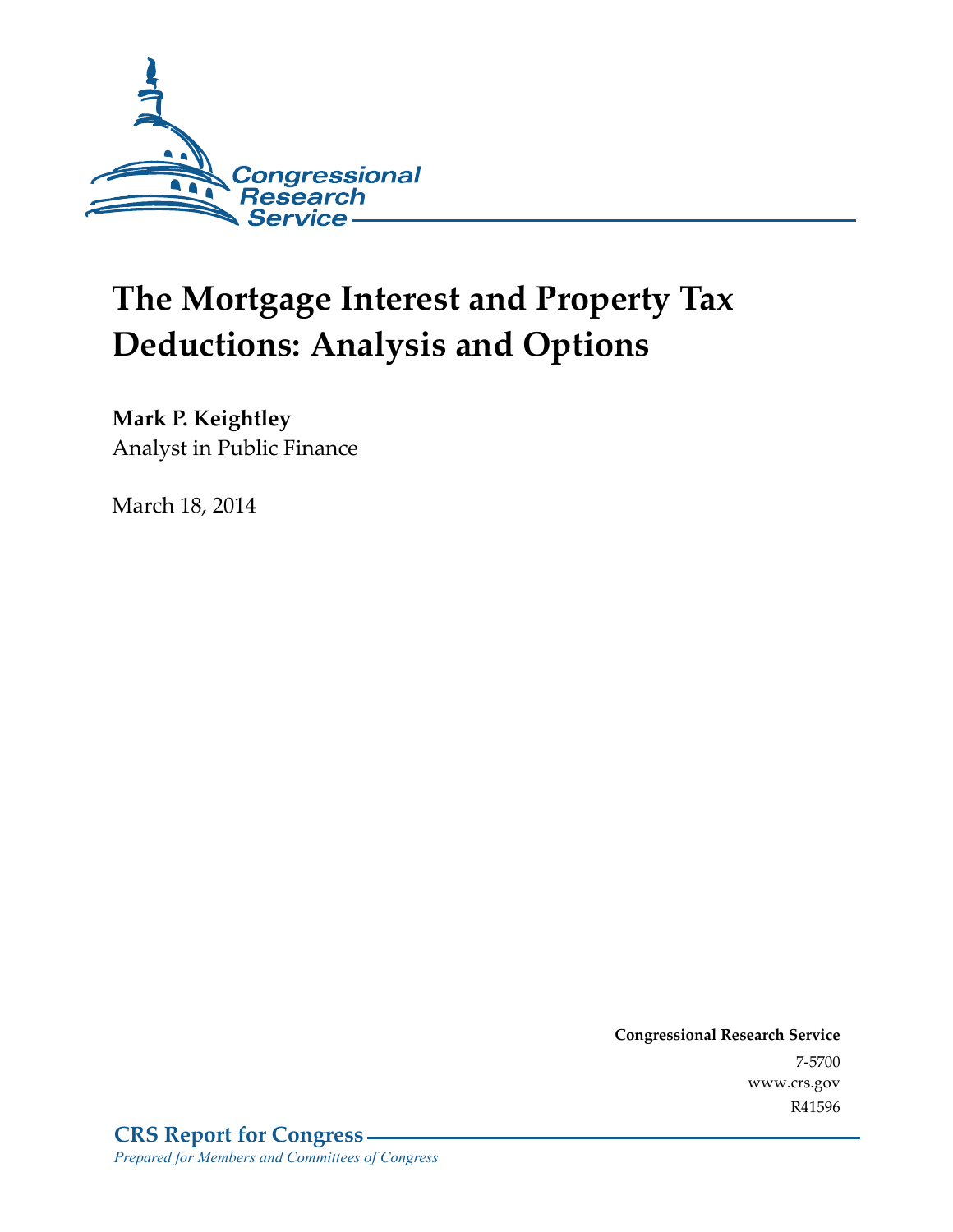

# **The Mortgage Interest and Property Tax Deductions: Analysis and Options**

**Mark P. Keightley** 

Analyst in Public Finance

March 18, 2014

**Congressional Research Service**  7-5700 www.crs.gov R41596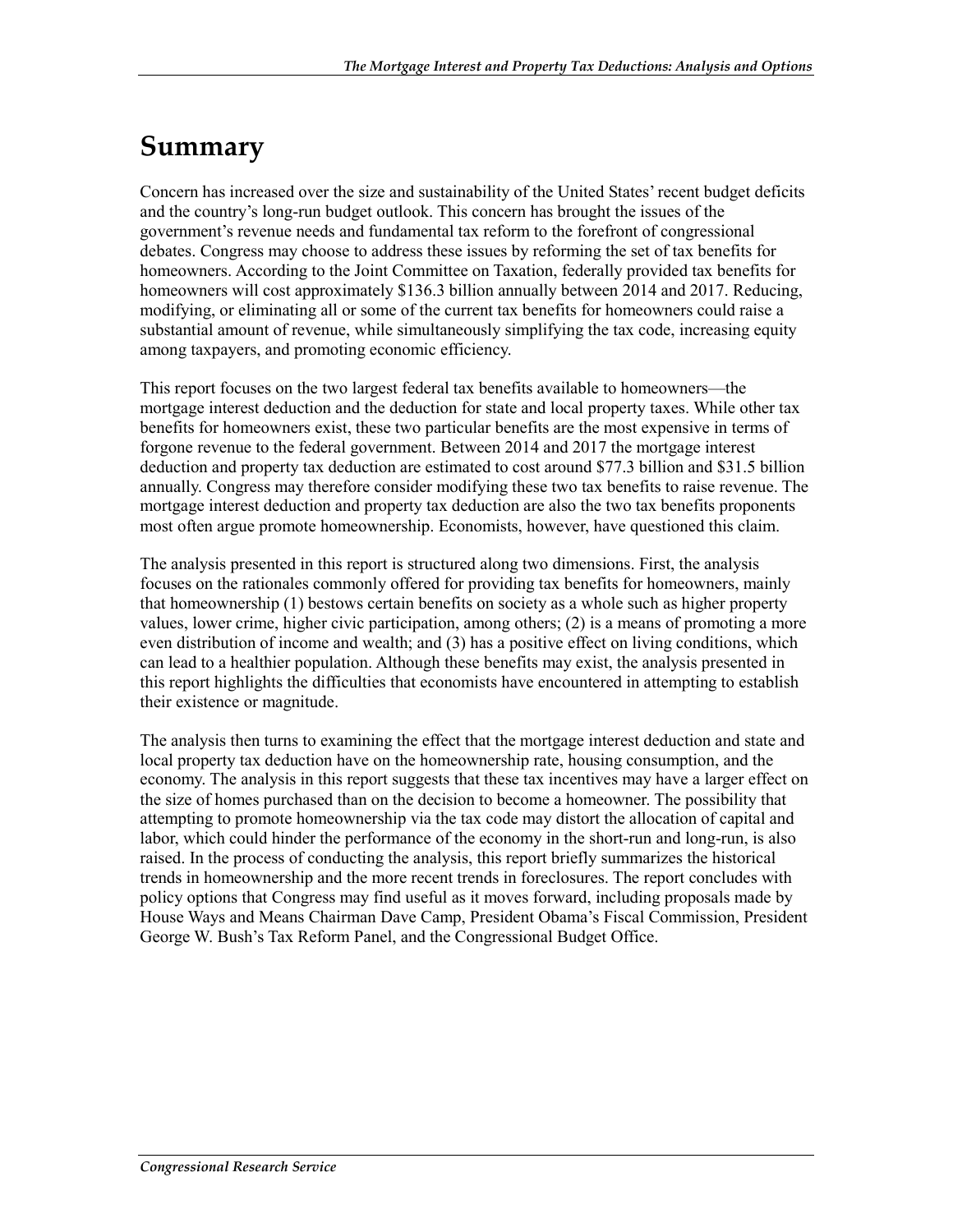## **Summary**

Concern has increased over the size and sustainability of the United States' recent budget deficits and the country's long-run budget outlook. This concern has brought the issues of the government's revenue needs and fundamental tax reform to the forefront of congressional debates. Congress may choose to address these issues by reforming the set of tax benefits for homeowners. According to the Joint Committee on Taxation, federally provided tax benefits for homeowners will cost approximately \$136.3 billion annually between 2014 and 2017. Reducing, modifying, or eliminating all or some of the current tax benefits for homeowners could raise a substantial amount of revenue, while simultaneously simplifying the tax code, increasing equity among taxpayers, and promoting economic efficiency.

This report focuses on the two largest federal tax benefits available to homeowners—the mortgage interest deduction and the deduction for state and local property taxes. While other tax benefits for homeowners exist, these two particular benefits are the most expensive in terms of forgone revenue to the federal government. Between 2014 and 2017 the mortgage interest deduction and property tax deduction are estimated to cost around \$77.3 billion and \$31.5 billion annually. Congress may therefore consider modifying these two tax benefits to raise revenue. The mortgage interest deduction and property tax deduction are also the two tax benefits proponents most often argue promote homeownership. Economists, however, have questioned this claim.

The analysis presented in this report is structured along two dimensions. First, the analysis focuses on the rationales commonly offered for providing tax benefits for homeowners, mainly that homeownership (1) bestows certain benefits on society as a whole such as higher property values, lower crime, higher civic participation, among others; (2) is a means of promoting a more even distribution of income and wealth; and (3) has a positive effect on living conditions, which can lead to a healthier population. Although these benefits may exist, the analysis presented in this report highlights the difficulties that economists have encountered in attempting to establish their existence or magnitude.

The analysis then turns to examining the effect that the mortgage interest deduction and state and local property tax deduction have on the homeownership rate, housing consumption, and the economy. The analysis in this report suggests that these tax incentives may have a larger effect on the size of homes purchased than on the decision to become a homeowner. The possibility that attempting to promote homeownership via the tax code may distort the allocation of capital and labor, which could hinder the performance of the economy in the short-run and long-run, is also raised. In the process of conducting the analysis, this report briefly summarizes the historical trends in homeownership and the more recent trends in foreclosures. The report concludes with policy options that Congress may find useful as it moves forward, including proposals made by House Ways and Means Chairman Dave Camp, President Obama's Fiscal Commission, President George W. Bush's Tax Reform Panel, and the Congressional Budget Office.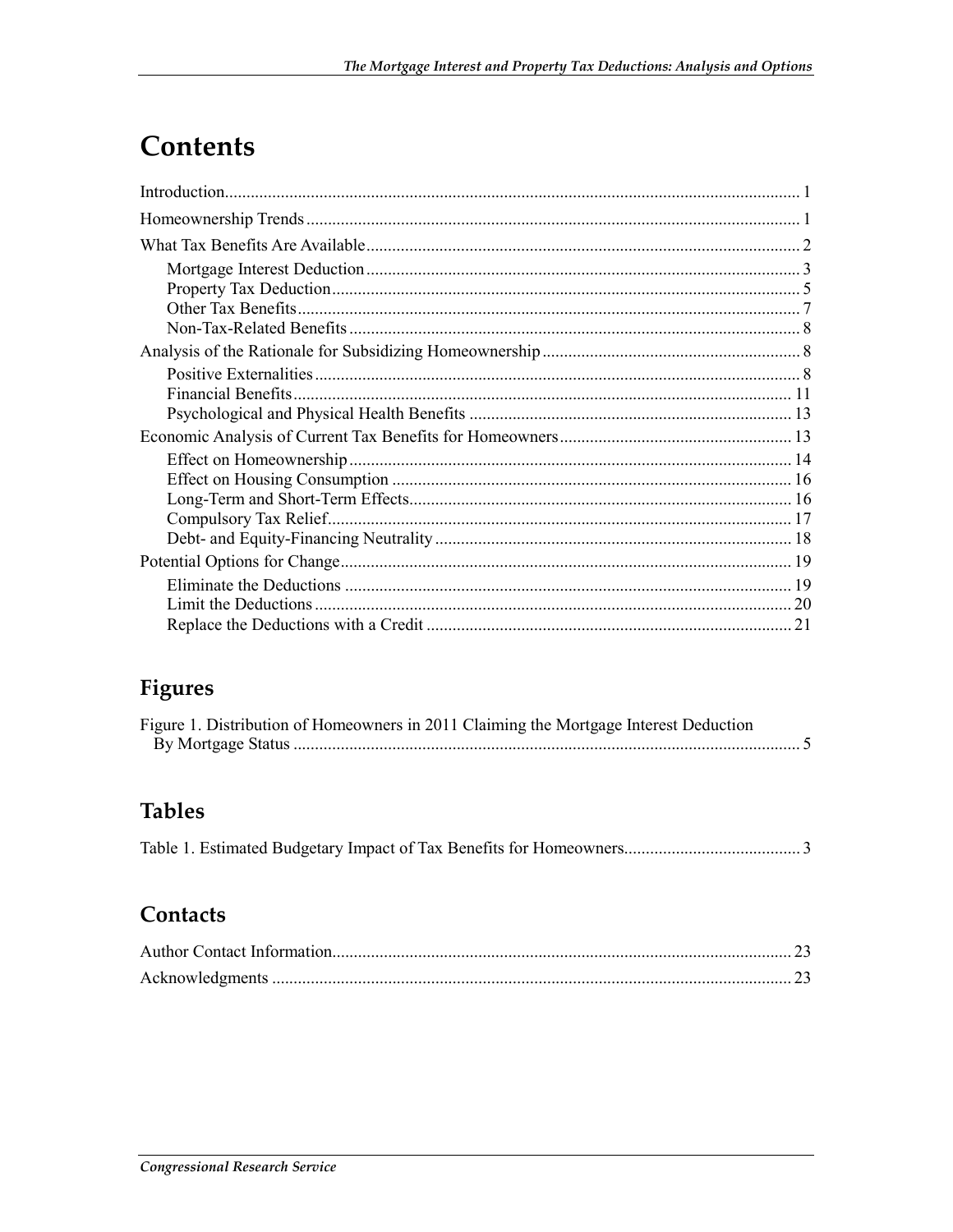# Contents

### Figures

| Figure 1. Distribution of Homeowners in 2011 Claiming the Mortgage Interest Deduction |  |
|---------------------------------------------------------------------------------------|--|
|                                                                                       |  |

### **Tables**

|--|--|--|--|--|--|

#### Contacts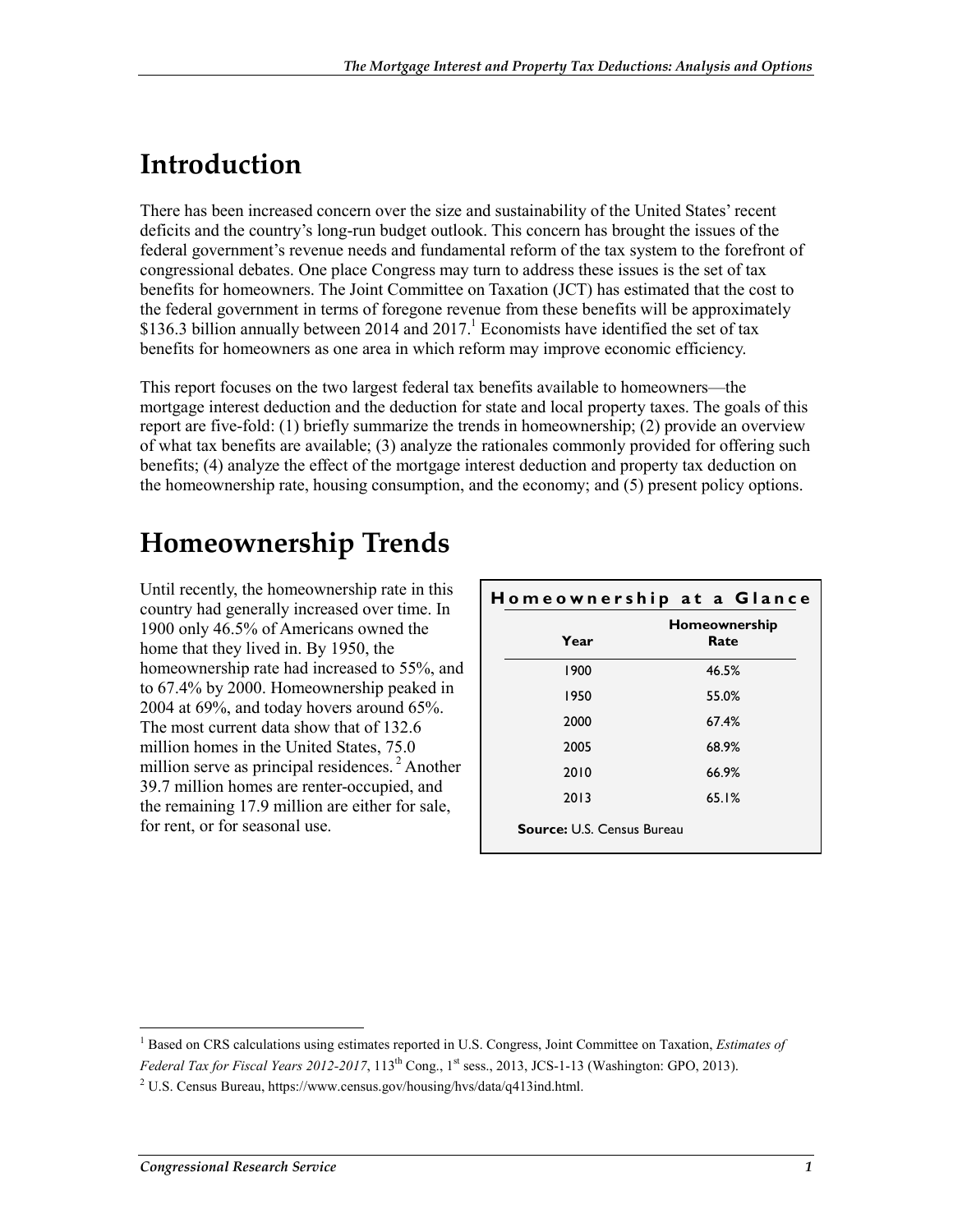# **Introduction**

There has been increased concern over the size and sustainability of the United States' recent deficits and the country's long-run budget outlook. This concern has brought the issues of the federal government's revenue needs and fundamental reform of the tax system to the forefront of congressional debates. One place Congress may turn to address these issues is the set of tax benefits for homeowners. The Joint Committee on Taxation (JCT) has estimated that the cost to the federal government in terms of foregone revenue from these benefits will be approximately \$136.3 billion annually between 2014 and 2017.<sup>1</sup> Economists have identified the set of tax benefits for homeowners as one area in which reform may improve economic efficiency.

This report focuses on the two largest federal tax benefits available to homeowners—the mortgage interest deduction and the deduction for state and local property taxes. The goals of this report are five-fold: (1) briefly summarize the trends in homeownership; (2) provide an overview of what tax benefits are available; (3) analyze the rationales commonly provided for offering such benefits; (4) analyze the effect of the mortgage interest deduction and property tax deduction on the homeownership rate, housing consumption, and the economy; and (5) present policy options.

# **Homeownership Trends**

Until recently, the homeownership rate in this country had generally increased over time. In 1900 only 46.5% of Americans owned the home that they lived in. By 1950, the homeownership rate had increased to 55%, and to 67.4% by 2000. Homeownership peaked in 2004 at 69%, and today hovers around 65%. The most current data show that of 132.6 million homes in the United States, 75.0 million serve as principal residences.<sup>2</sup> Another 39.7 million homes are renter-occupied, and the remaining 17.9 million are either for sale, for rent, or for seasonal use.

| Homeownership |       |  |
|---------------|-------|--|
| Year          | Rate  |  |
| 1900          | 46.5% |  |
| 1950          | 55.0% |  |
| 2000          | 67.4% |  |
| 2005          | 68.9% |  |
| 2010          | 66.9% |  |
| 2013          | 65.1% |  |

<sup>&</sup>lt;sup>1</sup> Based on CRS calculations using estimates reported in U.S. Congress, Joint Committee on Taxation, *Estimates of Federal Tax for Fiscal Years 2012-2017*, 113<sup>th</sup> Cong., 1<sup>st</sup> sess., 2013, JCS-1-13 (Washington: GPO, 2013).

<sup>&</sup>lt;sup>2</sup> U.S. Census Bureau, https://www.census.gov/housing/hvs/data/q413ind.html.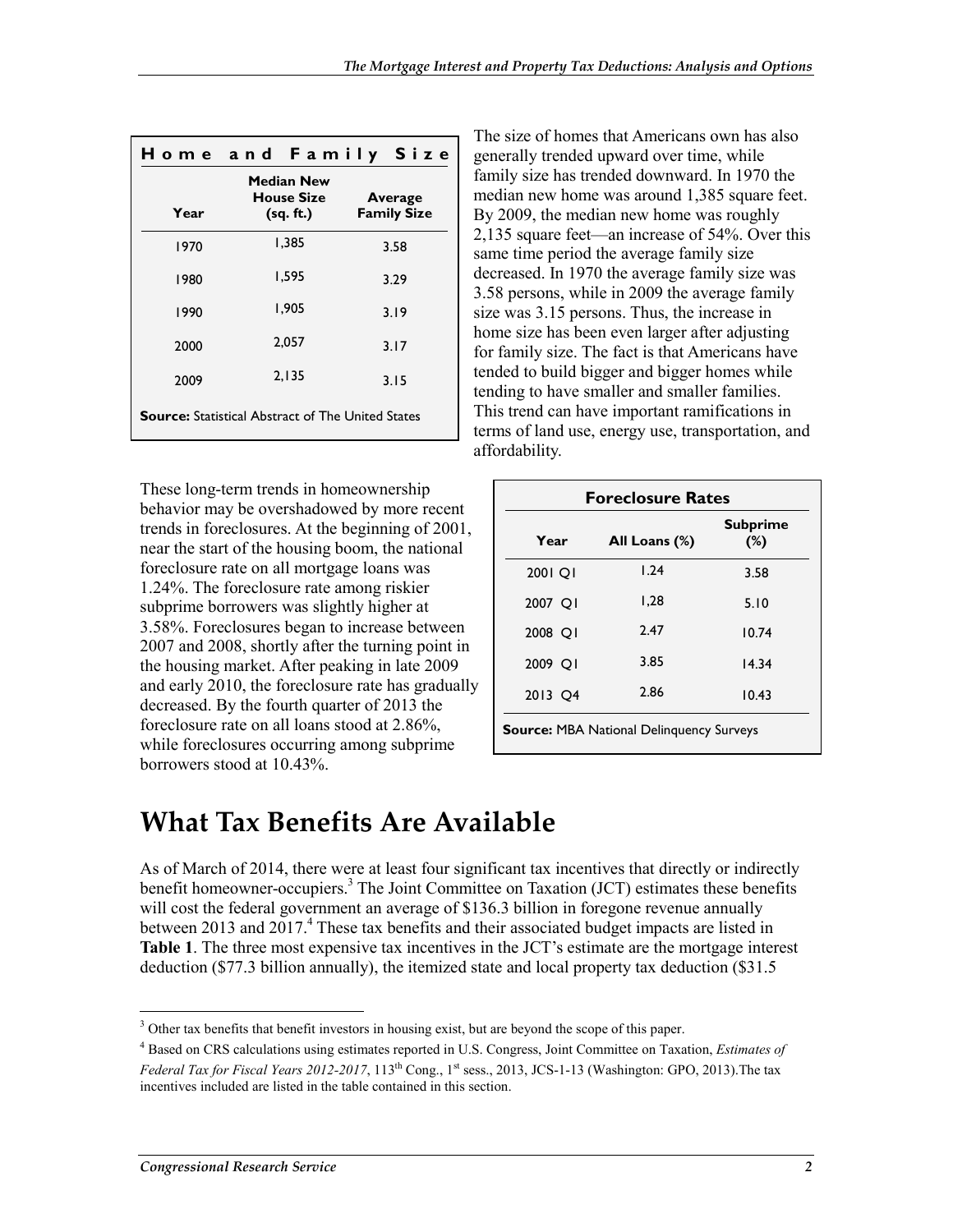|      | <b>Home and Family Size</b>                              |                               |
|------|----------------------------------------------------------|-------------------------------|
| Year | Median New<br><b>House Size</b><br>(sq. ft.)             | Average<br><b>Family Size</b> |
| 1970 | 1,385                                                    | 3.58                          |
| 1980 | 1,595                                                    | 3.29                          |
| 1990 | 1,905                                                    | 3.19                          |
| 2000 | 2,057                                                    | 3.17                          |
| 2009 | 2,135                                                    | 3.15                          |
|      | <b>Source:</b> Statistical Abstract of The United States |                               |

These long-term trends in homeownership behavior may be overshadowed by more recent trends in foreclosures. At the beginning of 2001, near the start of the housing boom, the national foreclosure rate on all mortgage loans was 1.24%. The foreclosure rate among riskier subprime borrowers was slightly higher at 3.58%. Foreclosures began to increase between 2007 and 2008, shortly after the turning point in the housing market. After peaking in late 2009 and early 2010, the foreclosure rate has gradually decreased. By the fourth quarter of 2013 the foreclosure rate on all loans stood at 2.86%, while foreclosures occurring among subprime borrowers stood at 10.43%.

The size of homes that Americans own has also generally trended upward over time, while family size has trended downward. In 1970 the median new home was around 1,385 square feet. By 2009, the median new home was roughly 2,135 square feet—an increase of 54%. Over this same time period the average family size decreased. In 1970 the average family size was 3.58 persons, while in 2009 the average family size was 3.15 persons. Thus, the increase in home size has been even larger after adjusting for family size. The fact is that Americans have tended to build bigger and bigger homes while tending to have smaller and smaller families. This trend can have important ramifications in terms of land use, energy use, transportation, and affordability.

| <b>Foreclosure Rates</b> |                                                 |                           |  |
|--------------------------|-------------------------------------------------|---------------------------|--|
| Year                     | All Loans (%)                                   | <b>Subprime</b><br>$(\%)$ |  |
| 2001 OI                  | 1.24                                            | 3.58                      |  |
| 2007 QI                  | 1,28                                            | 5.10                      |  |
| 2008 OI                  | 2.47                                            | 10.74                     |  |
| 2009 OI                  | 3.85                                            | 14.34                     |  |
| 2013 Q4                  | 2.86                                            | 10.43                     |  |
|                          | <b>Source: MBA National Delinguency Surveys</b> |                           |  |

### **What Tax Benefits Are Available**

As of March of 2014, there were at least four significant tax incentives that directly or indirectly benefit homeowner-occupiers.<sup>3</sup> The Joint Committee on Taxation (JCT) estimates these benefits will cost the federal government an average of \$136.3 billion in foregone revenue annually between 2013 and 2017.<sup>4</sup> These tax benefits and their associated budget impacts are listed in **Table 1**. The three most expensive tax incentives in the JCT's estimate are the mortgage interest deduction (\$77.3 billion annually), the itemized state and local property tax deduction (\$31.5

<sup>&</sup>lt;sup>3</sup> Other tax benefits that benefit investors in housing exist, but are beyond the scope of this paper.

<sup>4</sup> Based on CRS calculations using estimates reported in U.S. Congress, Joint Committee on Taxation, *Estimates of Federal Tax for Fiscal Years 2012-2017*, 113<sup>th</sup> Cong., 1<sup>st</sup> sess., 2013, JCS-1-13 (Washington: GPO, 2013). The tax incentives included are listed in the table contained in this section.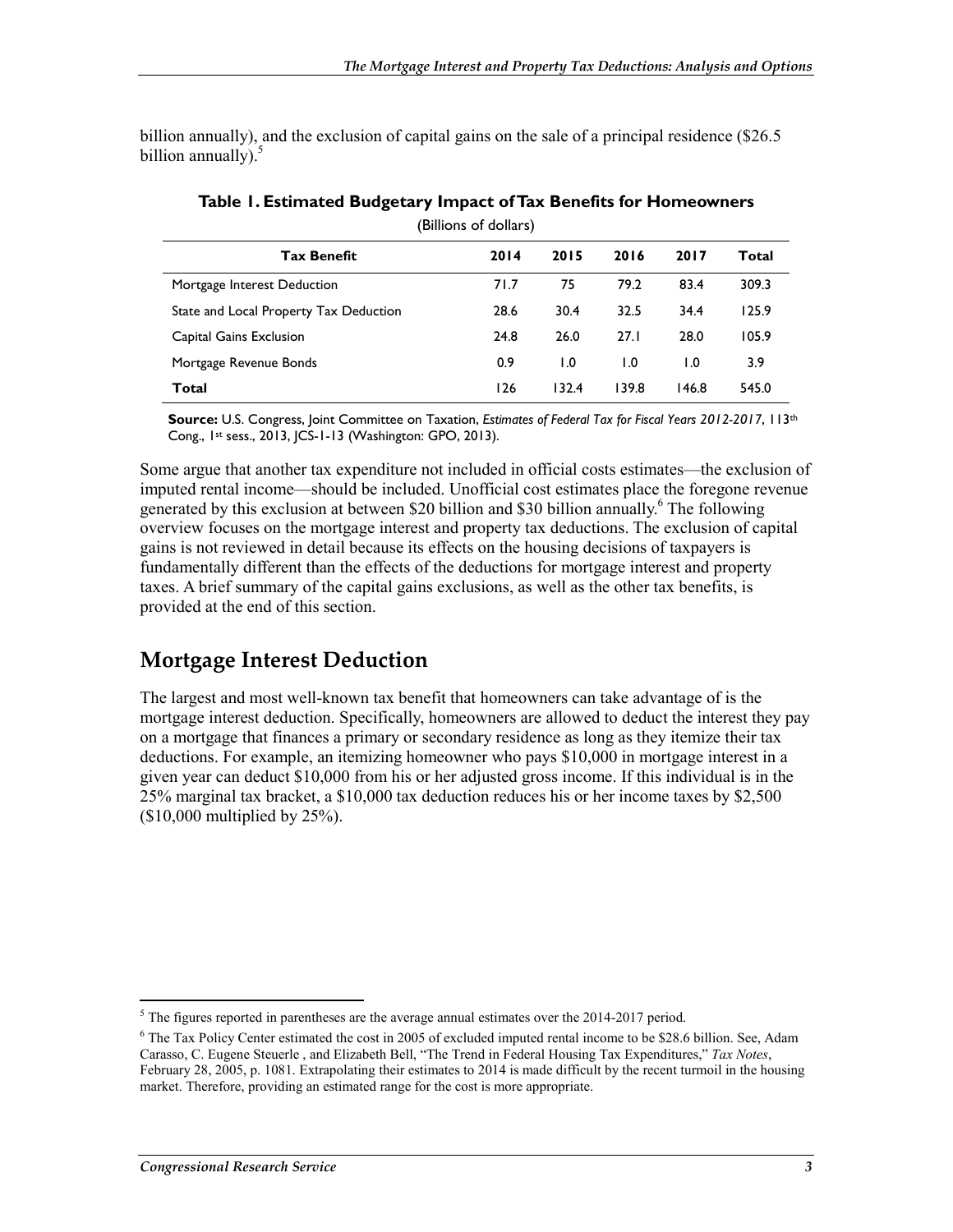billion annually), and the exclusion of capital gains on the sale of a principal residence (\$26.5 billion annually). $5$ 

| (Billions of dollars)                  |      |       |       |       |       |
|----------------------------------------|------|-------|-------|-------|-------|
| <b>Tax Benefit</b>                     | 2014 | 2015  | 2016  | 2017  | Total |
| Mortgage Interest Deduction            | 71.7 | 75    | 79.2  | 83.4  | 309.3 |
| State and Local Property Tax Deduction | 28.6 | 30.4  | 32.5  | 34.4  | 125.9 |
| Capital Gains Exclusion                | 24.8 | 26.0  | 27.1  | 28.0  | 105.9 |
| Mortgage Revenue Bonds                 | 0.9  | 1.0   | 1.0   | 1.0   | 3.9   |
| Total                                  | 126  | 132.4 | 139.8 | 146.8 | 545.0 |

**Table 1. Estimated Budgetary Impact of Tax Benefits for Homeowners** 

**Source:** U.S. Congress, Joint Committee on Taxation, *Estimates of Federal Tax for Fiscal Years 2012-2017*, 113th Cong., 1st sess., 2013, JCS-1-13 (Washington: GPO, 2013).

Some argue that another tax expenditure not included in official costs estimates—the exclusion of imputed rental income—should be included. Unofficial cost estimates place the foregone revenue generated by this exclusion at between \$20 billion and \$30 billion annually.<sup>6</sup> The following overview focuses on the mortgage interest and property tax deductions. The exclusion of capital gains is not reviewed in detail because its effects on the housing decisions of taxpayers is fundamentally different than the effects of the deductions for mortgage interest and property taxes. A brief summary of the capital gains exclusions, as well as the other tax benefits, is provided at the end of this section.

#### **Mortgage Interest Deduction**

The largest and most well-known tax benefit that homeowners can take advantage of is the mortgage interest deduction. Specifically, homeowners are allowed to deduct the interest they pay on a mortgage that finances a primary or secondary residence as long as they itemize their tax deductions. For example, an itemizing homeowner who pays \$10,000 in mortgage interest in a given year can deduct \$10,000 from his or her adjusted gross income. If this individual is in the 25% marginal tax bracket, a \$10,000 tax deduction reduces his or her income taxes by \$2,500 (\$10,000 multiplied by 25%).

<sup>1</sup>  $<sup>5</sup>$  The figures reported in parentheses are the average annual estimates over the 2014-2017 period.</sup>

<sup>&</sup>lt;sup>6</sup> The Tax Policy Center estimated the cost in 2005 of excluded imputed rental income to be \$28.6 billion. See, Adam Carasso, C. Eugene Steuerle , and Elizabeth Bell, "The Trend in Federal Housing Tax Expenditures," *Tax Notes*, February 28, 2005, p. 1081. Extrapolating their estimates to 2014 is made difficult by the recent turmoil in the housing market. Therefore, providing an estimated range for the cost is more appropriate.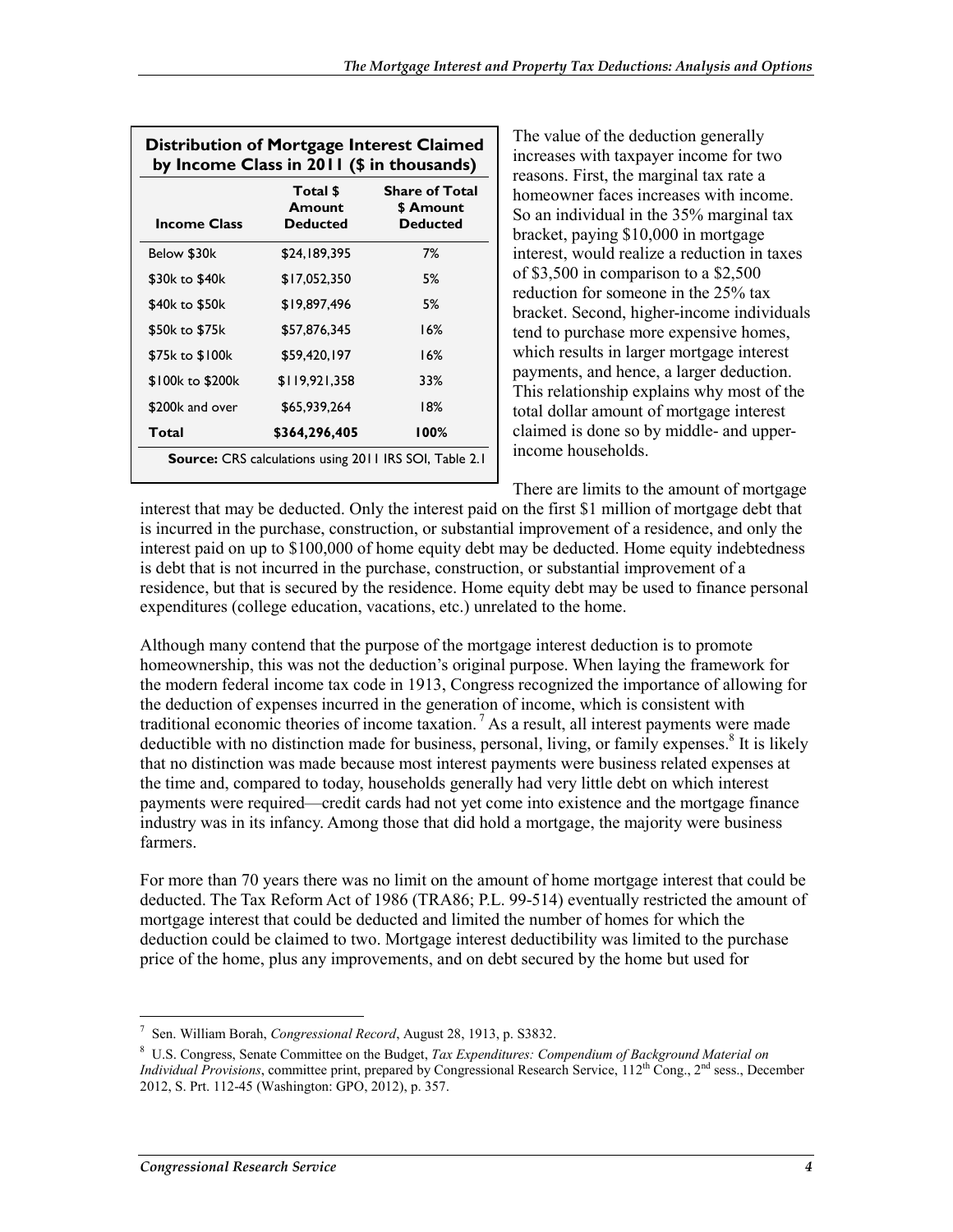| <b>Income Class</b> | Total \$<br>Amount<br><b>Deducted</b> | Share of Total<br>\$ Amount<br><b>Deducted</b> |
|---------------------|---------------------------------------|------------------------------------------------|
| Below \$30k         | \$24,189,395                          | 7%                                             |
| \$30k to \$40k      | \$17,052,350                          | 5%                                             |
| \$40k to \$50k      | \$19,897,496                          | 5%                                             |
| \$50k to \$75k      | \$57,876,345                          | 16%                                            |
| \$75k to \$100k     | \$59,420,197                          | 16%                                            |
| \$100k to \$200k    | \$119,921,358                         | 33%                                            |
| \$200k and over     | \$65.939.264                          | 18%                                            |
| Total               | \$364,296,405                         | 100%                                           |

Distribution of Mortgage Into

The value of the deduction generally increases with taxpayer income for two reasons. First, the marginal tax rate a homeowner faces increases with income. So an individual in the 35% marginal tax bracket, paying \$10,000 in mortgage interest, would realize a reduction in taxes of \$3,500 in comparison to a \$2,500 reduction for someone in the 25% tax bracket. Second, higher-income individuals tend to purchase more expensive homes, which results in larger mortgage interest payments, and hence, a larger deduction. This relationship explains why most of the total dollar amount of mortgage interest claimed is done so by middle- and upperincome households.

There are limits to the amount of mortgage interest that may be deducted. Only the interest paid on the first \$1 million of mortgage debt that is incurred in the purchase, construction, or substantial improvement of a residence, and only the interest paid on up to \$100,000 of home equity debt may be deducted. Home equity indebtedness is debt that is not incurred in the purchase, construction, or substantial improvement of a residence, but that is secured by the residence. Home equity debt may be used to finance personal expenditures (college education, vacations, etc.) unrelated to the home.

Although many contend that the purpose of the mortgage interest deduction is to promote homeownership, this was not the deduction's original purpose. When laying the framework for the modern federal income tax code in 1913, Congress recognized the importance of allowing for the deduction of expenses incurred in the generation of income, which is consistent with traditional economic theories of income taxation.<sup>7</sup> As a result, all interest payments were made deductible with no distinction made for business, personal, living, or family expenses.<sup>8</sup> It is likely that no distinction was made because most interest payments were business related expenses at the time and, compared to today, households generally had very little debt on which interest payments were required—credit cards had not yet come into existence and the mortgage finance industry was in its infancy. Among those that did hold a mortgage, the majority were business farmers.

For more than 70 years there was no limit on the amount of home mortgage interest that could be deducted. The Tax Reform Act of 1986 (TRA86; P.L. 99-514) eventually restricted the amount of mortgage interest that could be deducted and limited the number of homes for which the deduction could be claimed to two. Mortgage interest deductibility was limited to the purchase price of the home, plus any improvements, and on debt secured by the home but used for

<sup>7</sup> Sen. William Borah, *Congressional Record*, August 28, 1913, p. S3832.

<sup>8</sup> U.S. Congress, Senate Committee on the Budget, *Tax Expenditures: Compendium of Background Material on Individual Provisions*, committee print, prepared by Congressional Research Service, 112<sup>th</sup> Cong., 2<sup>nd</sup> sess., December 2012, S. Prt. 112-45 (Washington: GPO, 2012), p. 357.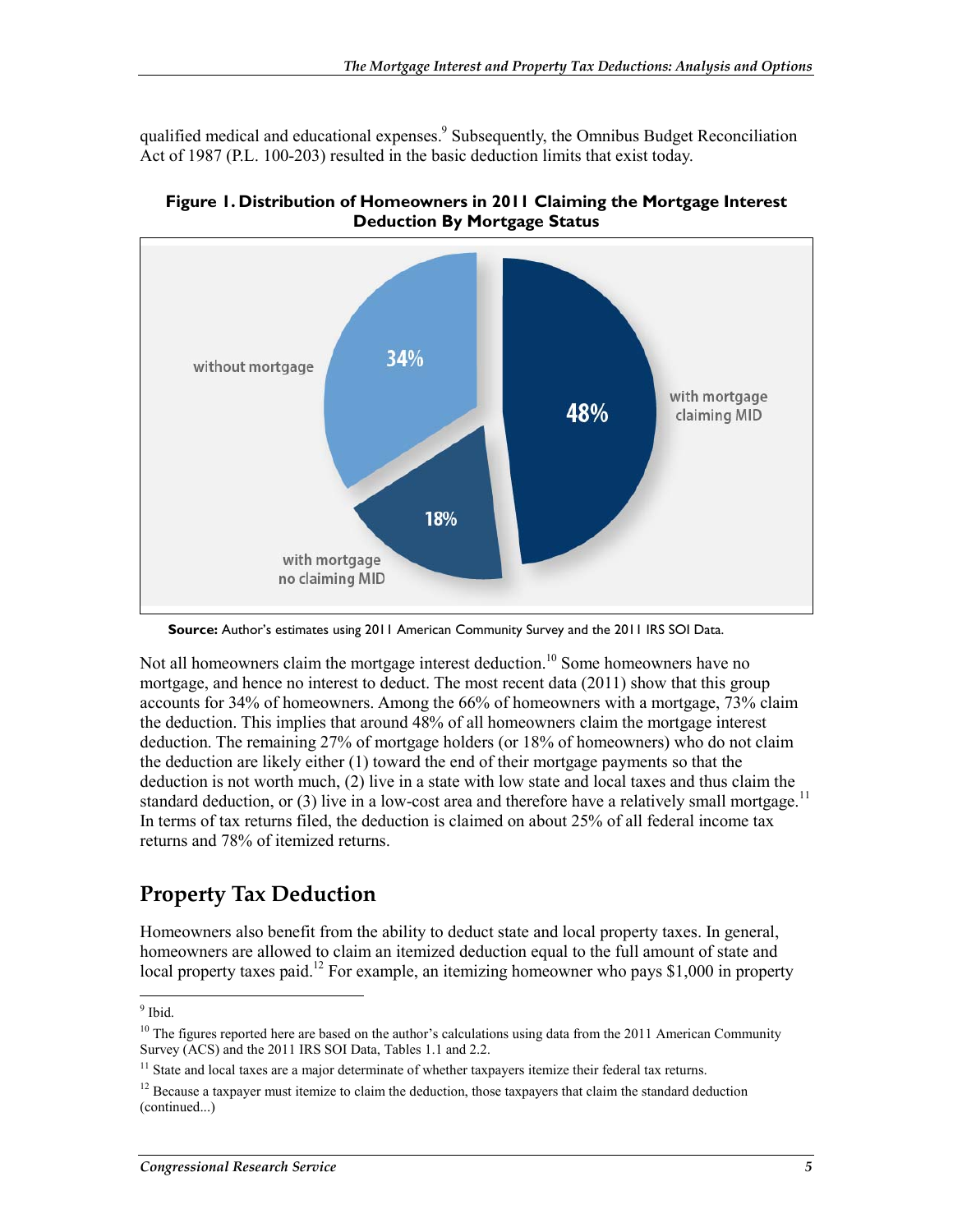qualified medical and educational expenses.<sup>9</sup> Subsequently, the Omnibus Budget Reconciliation Act of 1987 (P.L. 100-203) resulted in the basic deduction limits that exist today.



**Figure 1. Distribution of Homeowners in 2011 Claiming the Mortgage Interest Deduction By Mortgage Status** 

**Source:** Author's estimates using 2011 American Community Survey and the 2011 IRS SOI Data.

Not all homeowners claim the mortgage interest deduction.<sup>10</sup> Some homeowners have no mortgage, and hence no interest to deduct. The most recent data (2011) show that this group accounts for 34% of homeowners. Among the 66% of homeowners with a mortgage, 73% claim the deduction. This implies that around 48% of all homeowners claim the mortgage interest deduction. The remaining 27% of mortgage holders (or 18% of homeowners) who do not claim the deduction are likely either (1) toward the end of their mortgage payments so that the deduction is not worth much, (2) live in a state with low state and local taxes and thus claim the standard deduction, or  $(3)$  live in a low-cost area and therefore have a relatively small mortgage.<sup>11</sup> In terms of tax returns filed, the deduction is claimed on about 25% of all federal income tax returns and 78% of itemized returns.

### **Property Tax Deduction**

Homeowners also benefit from the ability to deduct state and local property taxes. In general, homeowners are allowed to claim an itemized deduction equal to the full amount of state and local property taxes paid.<sup>12</sup> For example, an itemizing homeowner who pays \$1,000 in property

 $\frac{9}{9}$  Ibid.

<sup>&</sup>lt;sup>10</sup> The figures reported here are based on the author's calculations using data from the 2011 American Community Survey (ACS) and the 2011 IRS SOI Data, Tables 1.1 and 2.2.

<sup>&</sup>lt;sup>11</sup> State and local taxes are a major determinate of whether taxpayers itemize their federal tax returns.

 $12$  Because a taxpayer must itemize to claim the deduction, those taxpayers that claim the standard deduction (continued...)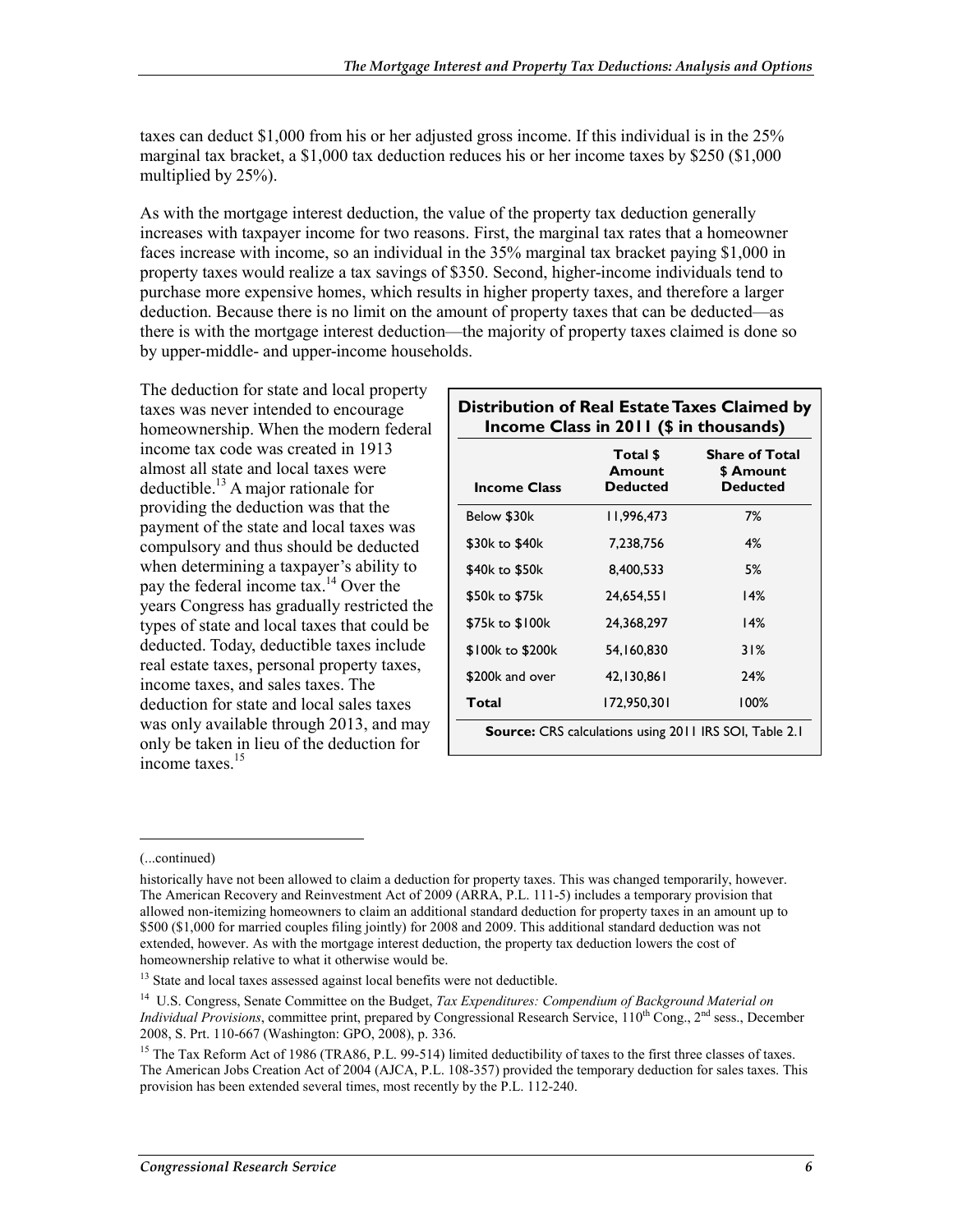taxes can deduct \$1,000 from his or her adjusted gross income. If this individual is in the 25% marginal tax bracket, a \$1,000 tax deduction reduces his or her income taxes by \$250 (\$1,000 multiplied by 25%).

As with the mortgage interest deduction, the value of the property tax deduction generally increases with taxpayer income for two reasons. First, the marginal tax rates that a homeowner faces increase with income, so an individual in the 35% marginal tax bracket paying \$1,000 in property taxes would realize a tax savings of \$350. Second, higher-income individuals tend to purchase more expensive homes, which results in higher property taxes, and therefore a larger deduction. Because there is no limit on the amount of property taxes that can be deducted—as there is with the mortgage interest deduction—the majority of property taxes claimed is done so by upper-middle- and upper-income households.

The deduction for state and local property taxes was never intended to encourage homeownership. When the modern federal income tax code was created in 1913 almost all state and local taxes were deductible.<sup>13</sup> A major rationale for providing the deduction was that the payment of the state and local taxes was compulsory and thus should be deducted when determining a taxpayer's ability to pay the federal income tax.<sup>14</sup> Over the years Congress has gradually restricted the types of state and local taxes that could be deducted. Today, deductible taxes include real estate taxes, personal property taxes, income taxes, and sales taxes. The deduction for state and local sales taxes was only available through 2013, and may only be taken in lieu of the deduction for income taxes.15

| <b>Income Class</b> | Total \$<br>Amount<br><b>Deducted</b> | <b>Share of Total</b><br>\$ Amount<br><b>Deducted</b> |
|---------------------|---------------------------------------|-------------------------------------------------------|
| Below \$30k         | 11.996.473                            | 7%                                                    |
| \$30k to \$40k      | 7,238,756                             | 4%                                                    |
| \$40k to \$50k      | 8.400.533                             | 5%                                                    |
| \$50k to \$75k      | 24.654.551                            | 14%                                                   |
| \$75k to \$100k     | 24.368.297                            | 14%                                                   |
| \$100k to \$200k    | 54,160,830                            | 31%                                                   |
| \$200k and over     | 42,130,861                            | 24%                                                   |
| Total               | 172,950,301                           | 100%                                                  |

 $\overline{a}$ 

<sup>(...</sup>continued)

historically have not been allowed to claim a deduction for property taxes. This was changed temporarily, however. The American Recovery and Reinvestment Act of 2009 (ARRA, P.L. 111-5) includes a temporary provision that allowed non-itemizing homeowners to claim an additional standard deduction for property taxes in an amount up to \$500 (\$1,000 for married couples filing jointly) for 2008 and 2009. This additional standard deduction was not extended, however. As with the mortgage interest deduction, the property tax deduction lowers the cost of homeownership relative to what it otherwise would be.

<sup>&</sup>lt;sup>13</sup> State and local taxes assessed against local benefits were not deductible.

<sup>14</sup> U.S. Congress, Senate Committee on the Budget, *Tax Expenditures: Compendium of Background Material on Individual Provisions*, committee print, prepared by Congressional Research Service, 110<sup>th</sup> Cong., 2<sup>nd</sup> sess., December 2008, S. Prt. 110-667 (Washington: GPO, 2008), p. 336.

<sup>&</sup>lt;sup>15</sup> The Tax Reform Act of 1986 (TRA86, P.L. 99-514) limited deductibility of taxes to the first three classes of taxes. The American Jobs Creation Act of 2004 (AJCA, P.L. 108-357) provided the temporary deduction for sales taxes. This provision has been extended several times, most recently by the P.L. 112-240.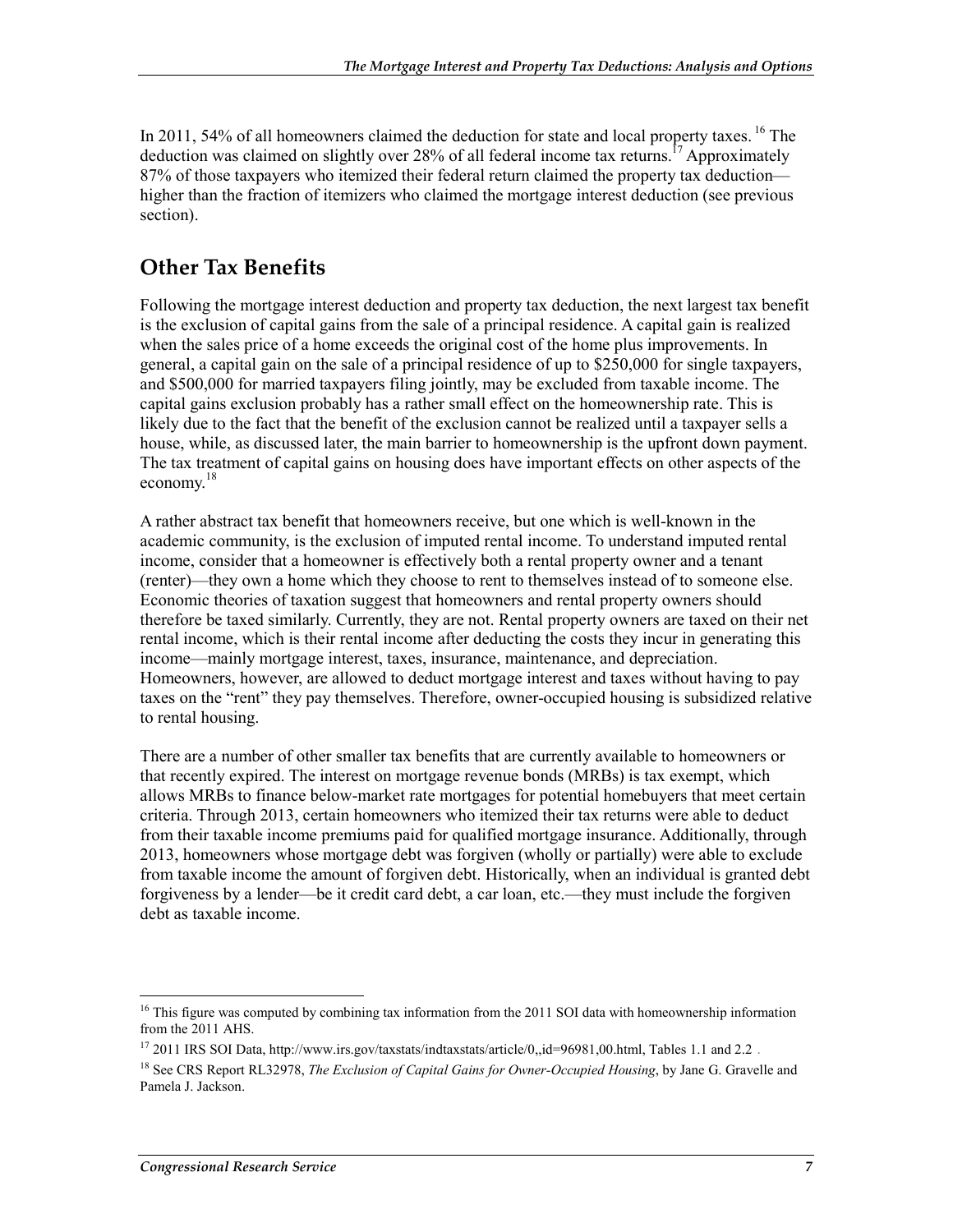In 2011, 54% of all homeowners claimed the deduction for state and local property taxes. <sup>16</sup> The deduction was claimed on slightly over 28% of all federal income tax returns.<sup>17</sup> Approximately 87% of those taxpayers who itemized their federal return claimed the property tax deduction higher than the fraction of itemizers who claimed the mortgage interest deduction (see previous section).

#### **Other Tax Benefits**

Following the mortgage interest deduction and property tax deduction, the next largest tax benefit is the exclusion of capital gains from the sale of a principal residence. A capital gain is realized when the sales price of a home exceeds the original cost of the home plus improvements. In general, a capital gain on the sale of a principal residence of up to \$250,000 for single taxpayers, and \$500,000 for married taxpayers filing jointly, may be excluded from taxable income. The capital gains exclusion probably has a rather small effect on the homeownership rate. This is likely due to the fact that the benefit of the exclusion cannot be realized until a taxpayer sells a house, while, as discussed later, the main barrier to homeownership is the upfront down payment. The tax treatment of capital gains on housing does have important effects on other aspects of the economy.18

A rather abstract tax benefit that homeowners receive, but one which is well-known in the academic community, is the exclusion of imputed rental income. To understand imputed rental income, consider that a homeowner is effectively both a rental property owner and a tenant (renter)—they own a home which they choose to rent to themselves instead of to someone else. Economic theories of taxation suggest that homeowners and rental property owners should therefore be taxed similarly. Currently, they are not. Rental property owners are taxed on their net rental income, which is their rental income after deducting the costs they incur in generating this income—mainly mortgage interest, taxes, insurance, maintenance, and depreciation. Homeowners, however, are allowed to deduct mortgage interest and taxes without having to pay taxes on the "rent" they pay themselves. Therefore, owner-occupied housing is subsidized relative to rental housing.

There are a number of other smaller tax benefits that are currently available to homeowners or that recently expired. The interest on mortgage revenue bonds (MRBs) is tax exempt, which allows MRBs to finance below-market rate mortgages for potential homebuyers that meet certain criteria. Through 2013, certain homeowners who itemized their tax returns were able to deduct from their taxable income premiums paid for qualified mortgage insurance. Additionally, through 2013, homeowners whose mortgage debt was forgiven (wholly or partially) were able to exclude from taxable income the amount of forgiven debt. Historically, when an individual is granted debt forgiveness by a lender—be it credit card debt, a car loan, etc.—they must include the forgiven debt as taxable income.

<sup>&</sup>lt;sup>16</sup> This figure was computed by combining tax information from the 2011 SOI data with homeownership information from the 2011 AHS.

<sup>&</sup>lt;sup>17</sup> 2011 IRS SOI Data, http://www.irs.gov/taxstats/indtaxstats/article/0,,id=96981,00.html, Tables 1.1 and 2.2.

<sup>18</sup> See CRS Report RL32978, *The Exclusion of Capital Gains for Owner-Occupied Housing*, by Jane G. Gravelle and Pamela J. Jackson.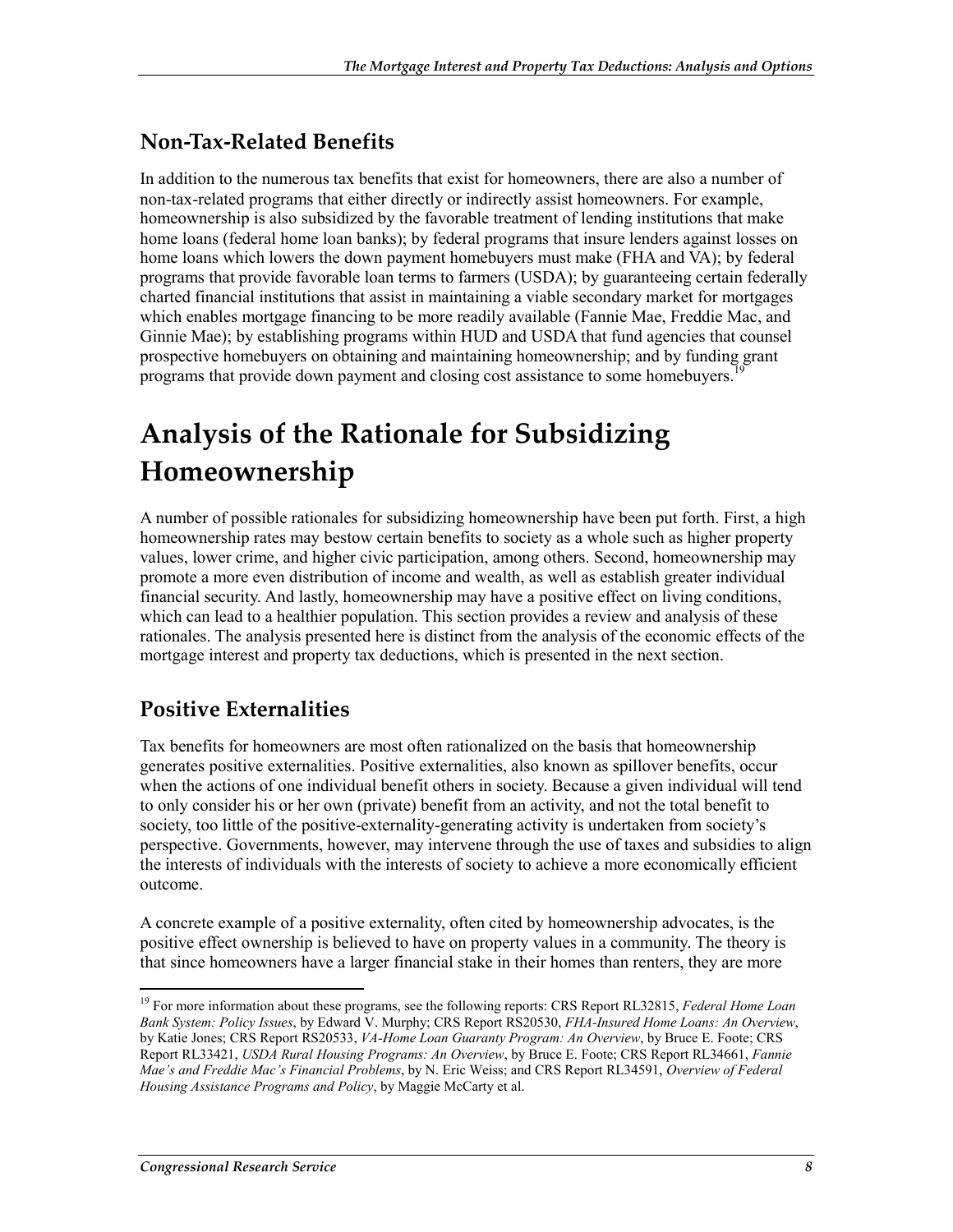#### **Non-Tax-Related Benefits**

In addition to the numerous tax benefits that exist for homeowners, there are also a number of non-tax-related programs that either directly or indirectly assist homeowners. For example, homeownership is also subsidized by the favorable treatment of lending institutions that make home loans (federal home loan banks); by federal programs that insure lenders against losses on home loans which lowers the down payment homebuyers must make (FHA and VA); by federal programs that provide favorable loan terms to farmers (USDA); by guaranteeing certain federally charted financial institutions that assist in maintaining a viable secondary market for mortgages which enables mortgage financing to be more readily available (Fannie Mae, Freddie Mac, and Ginnie Mae); by establishing programs within HUD and USDA that fund agencies that counsel prospective homebuyers on obtaining and maintaining homeownership; and by funding grant programs that provide down payment and closing cost assistance to some homebuyers.

# **Analysis of the Rationale for Subsidizing Homeownership**

A number of possible rationales for subsidizing homeownership have been put forth. First, a high homeownership rates may bestow certain benefits to society as a whole such as higher property values, lower crime, and higher civic participation, among others. Second, homeownership may promote a more even distribution of income and wealth, as well as establish greater individual financial security. And lastly, homeownership may have a positive effect on living conditions, which can lead to a healthier population. This section provides a review and analysis of these rationales. The analysis presented here is distinct from the analysis of the economic effects of the mortgage interest and property tax deductions, which is presented in the next section.

### **Positive Externalities**

Tax benefits for homeowners are most often rationalized on the basis that homeownership generates positive externalities. Positive externalities, also known as spillover benefits, occur when the actions of one individual benefit others in society. Because a given individual will tend to only consider his or her own (private) benefit from an activity, and not the total benefit to society, too little of the positive-externality-generating activity is undertaken from society's perspective. Governments, however, may intervene through the use of taxes and subsidies to align the interests of individuals with the interests of society to achieve a more economically efficient outcome.

A concrete example of a positive externality, often cited by homeownership advocates, is the positive effect ownership is believed to have on property values in a community. The theory is that since homeowners have a larger financial stake in their homes than renters, they are more

<sup>19</sup> For more information about these programs, see the following reports: CRS Report RL32815, *Federal Home Loan Bank System: Policy Issues*, by Edward V. Murphy; CRS Report RS20530, *FHA-Insured Home Loans: An Overview*, by Katie Jones; CRS Report RS20533, *VA-Home Loan Guaranty Program: An Overview*, by Bruce E. Foote; CRS Report RL33421, *USDA Rural Housing Programs: An Overview*, by Bruce E. Foote; CRS Report RL34661, *Fannie Mae's and Freddie Mac's Financial Problems*, by N. Eric Weiss; and CRS Report RL34591, *Overview of Federal Housing Assistance Programs and Policy*, by Maggie McCarty et al.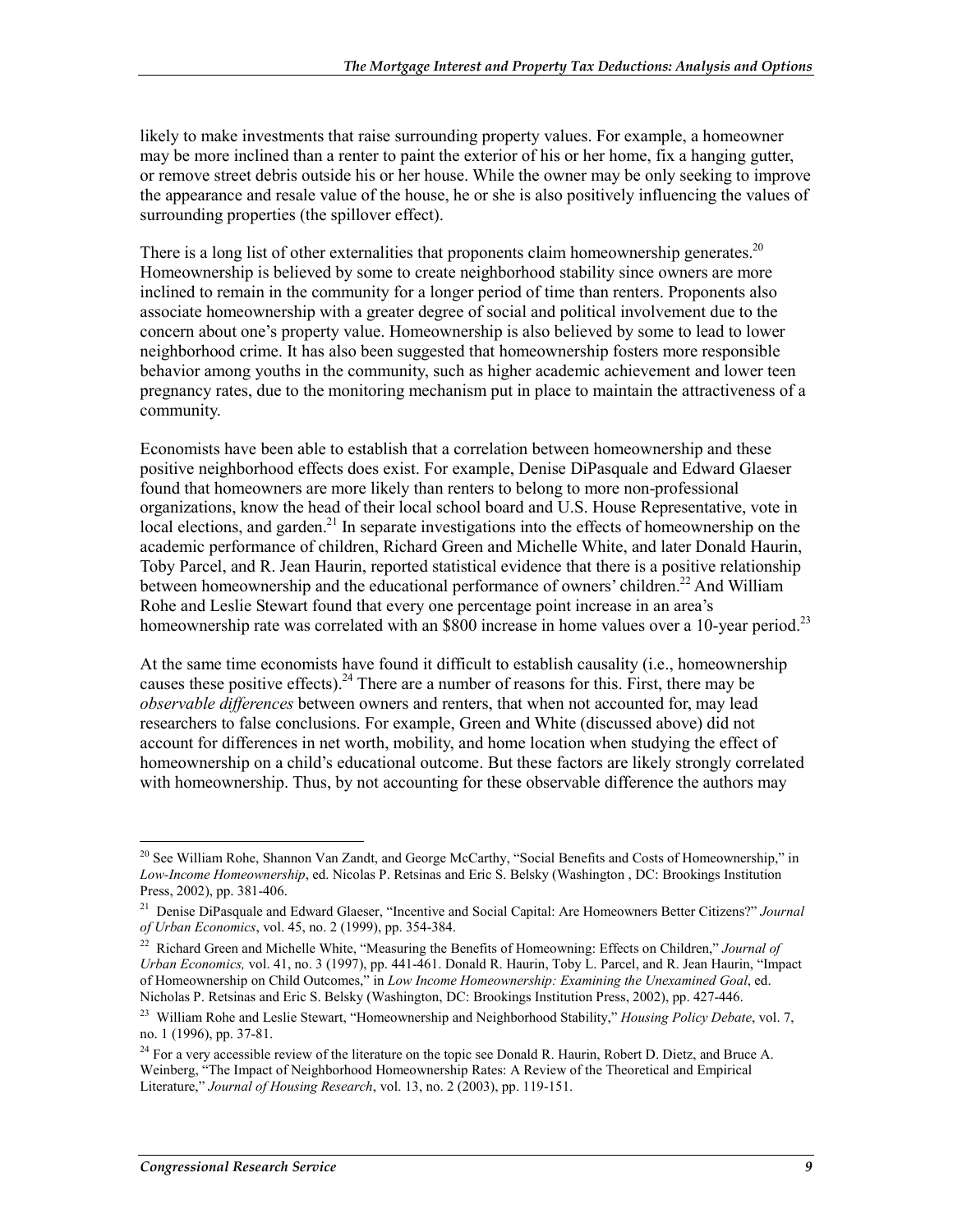likely to make investments that raise surrounding property values. For example, a homeowner may be more inclined than a renter to paint the exterior of his or her home, fix a hanging gutter, or remove street debris outside his or her house. While the owner may be only seeking to improve the appearance and resale value of the house, he or she is also positively influencing the values of surrounding properties (the spillover effect).

There is a long list of other externalities that proponents claim homeownership generates.<sup>20</sup> Homeownership is believed by some to create neighborhood stability since owners are more inclined to remain in the community for a longer period of time than renters. Proponents also associate homeownership with a greater degree of social and political involvement due to the concern about one's property value. Homeownership is also believed by some to lead to lower neighborhood crime. It has also been suggested that homeownership fosters more responsible behavior among youths in the community, such as higher academic achievement and lower teen pregnancy rates, due to the monitoring mechanism put in place to maintain the attractiveness of a community.

Economists have been able to establish that a correlation between homeownership and these positive neighborhood effects does exist. For example, Denise DiPasquale and Edward Glaeser found that homeowners are more likely than renters to belong to more non-professional organizations, know the head of their local school board and U.S. House Representative, vote in local elections, and garden.<sup>21</sup> In separate investigations into the effects of homeownership on the academic performance of children, Richard Green and Michelle White, and later Donald Haurin, Toby Parcel, and R. Jean Haurin, reported statistical evidence that there is a positive relationship between homeownership and the educational performance of owners' children.<sup>22</sup> And William Rohe and Leslie Stewart found that every one percentage point increase in an area's homeownership rate was correlated with an \$800 increase in home values over a 10-year period.<sup>23</sup>

At the same time economists have found it difficult to establish causality (i.e., homeownership causes these positive effects).<sup>24</sup> There are a number of reasons for this. First, there may be *observable differences* between owners and renters, that when not accounted for, may lead researchers to false conclusions. For example, Green and White (discussed above) did not account for differences in net worth, mobility, and home location when studying the effect of homeownership on a child's educational outcome. But these factors are likely strongly correlated with homeownership. Thus, by not accounting for these observable difference the authors may

<u>.</u>

<sup>&</sup>lt;sup>20</sup> See William Rohe, Shannon Van Zandt, and George McCarthy, "Social Benefits and Costs of Homeownership," in *Low-Income Homeownership*, ed. Nicolas P. Retsinas and Eric S. Belsky (Washington , DC: Brookings Institution Press, 2002), pp. 381-406.

<sup>21</sup> Denise DiPasquale and Edward Glaeser, "Incentive and Social Capital: Are Homeowners Better Citizens?" *Journal of Urban Economics*, vol. 45, no. 2 (1999), pp. 354-384.

<sup>22</sup> Richard Green and Michelle White, "Measuring the Benefits of Homeowning: Effects on Children," *Journal of Urban Economics,* vol. 41, no. 3 (1997), pp. 441-461. Donald R. Haurin, Toby L. Parcel, and R. Jean Haurin, "Impact of Homeownership on Child Outcomes," in *Low Income Homeownership: Examining the Unexamined Goal*, ed. Nicholas P. Retsinas and Eric S. Belsky (Washington, DC: Brookings Institution Press, 2002), pp. 427-446.

<sup>23</sup> William Rohe and Leslie Stewart, "Homeownership and Neighborhood Stability," *Housing Policy Debate*, vol. 7, no. 1 (1996), pp. 37-81.

<sup>&</sup>lt;sup>24</sup> For a very accessible review of the literature on the topic see Donald R. Haurin, Robert D. Dietz, and Bruce A. Weinberg, "The Impact of Neighborhood Homeownership Rates: A Review of the Theoretical and Empirical Literature," *Journal of Housing Research*, vol. 13, no. 2 (2003), pp. 119-151.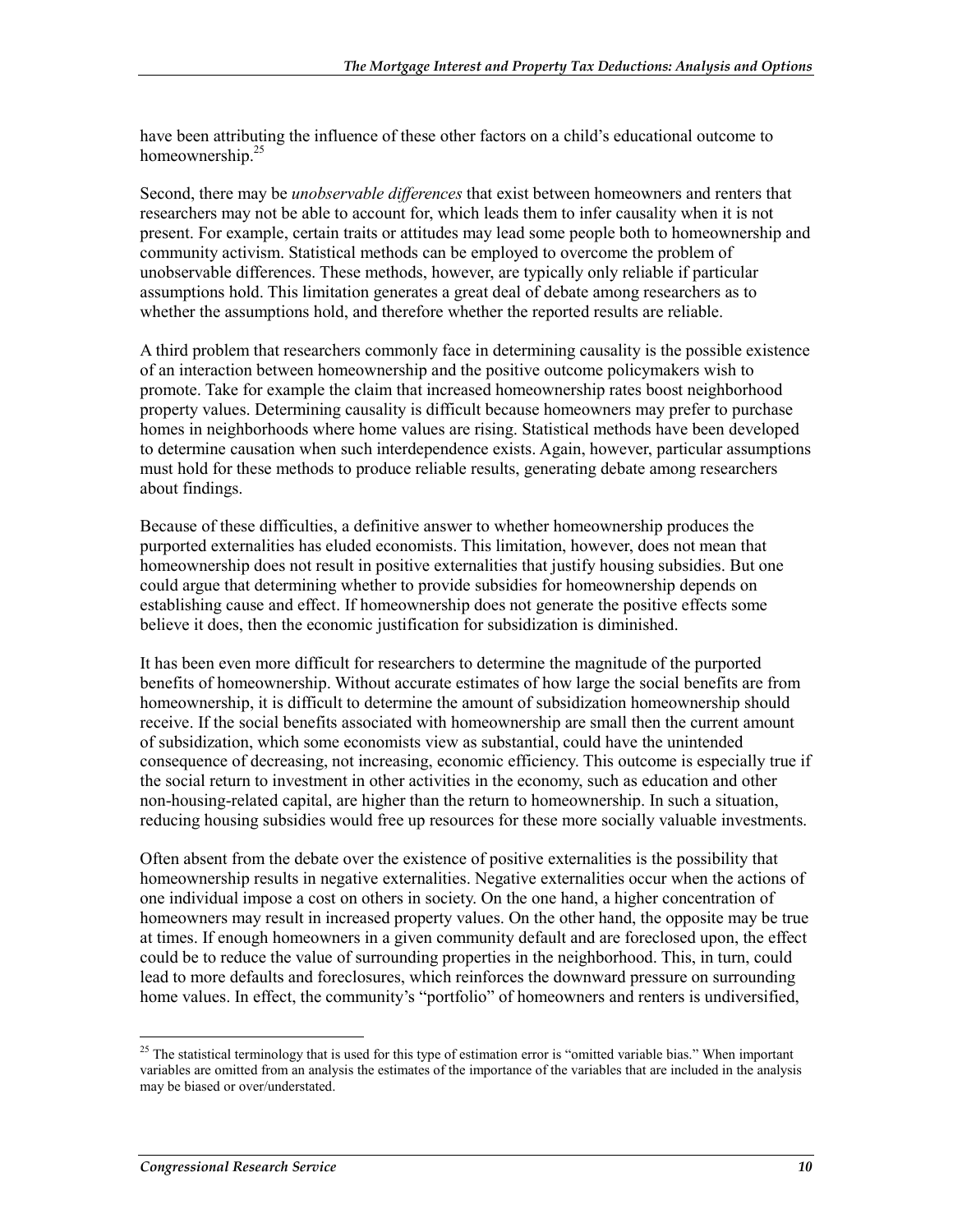have been attributing the influence of these other factors on a child's educational outcome to homeownership.<sup>25</sup>

Second, there may be *unobservable differences* that exist between homeowners and renters that researchers may not be able to account for, which leads them to infer causality when it is not present. For example, certain traits or attitudes may lead some people both to homeownership and community activism. Statistical methods can be employed to overcome the problem of unobservable differences. These methods, however, are typically only reliable if particular assumptions hold. This limitation generates a great deal of debate among researchers as to whether the assumptions hold, and therefore whether the reported results are reliable.

A third problem that researchers commonly face in determining causality is the possible existence of an interaction between homeownership and the positive outcome policymakers wish to promote. Take for example the claim that increased homeownership rates boost neighborhood property values. Determining causality is difficult because homeowners may prefer to purchase homes in neighborhoods where home values are rising. Statistical methods have been developed to determine causation when such interdependence exists. Again, however, particular assumptions must hold for these methods to produce reliable results, generating debate among researchers about findings.

Because of these difficulties, a definitive answer to whether homeownership produces the purported externalities has eluded economists. This limitation, however, does not mean that homeownership does not result in positive externalities that justify housing subsidies. But one could argue that determining whether to provide subsidies for homeownership depends on establishing cause and effect. If homeownership does not generate the positive effects some believe it does, then the economic justification for subsidization is diminished.

It has been even more difficult for researchers to determine the magnitude of the purported benefits of homeownership. Without accurate estimates of how large the social benefits are from homeownership, it is difficult to determine the amount of subsidization homeownership should receive. If the social benefits associated with homeownership are small then the current amount of subsidization, which some economists view as substantial, could have the unintended consequence of decreasing, not increasing, economic efficiency. This outcome is especially true if the social return to investment in other activities in the economy, such as education and other non-housing-related capital, are higher than the return to homeownership. In such a situation, reducing housing subsidies would free up resources for these more socially valuable investments.

Often absent from the debate over the existence of positive externalities is the possibility that homeownership results in negative externalities. Negative externalities occur when the actions of one individual impose a cost on others in society. On the one hand, a higher concentration of homeowners may result in increased property values. On the other hand, the opposite may be true at times. If enough homeowners in a given community default and are foreclosed upon, the effect could be to reduce the value of surrounding properties in the neighborhood. This, in turn, could lead to more defaults and foreclosures, which reinforces the downward pressure on surrounding home values. In effect, the community's "portfolio" of homeowners and renters is undiversified,

 $25$  The statistical terminology that is used for this type of estimation error is "omitted variable bias." When important variables are omitted from an analysis the estimates of the importance of the variables that are included in the analysis may be biased or over/understated.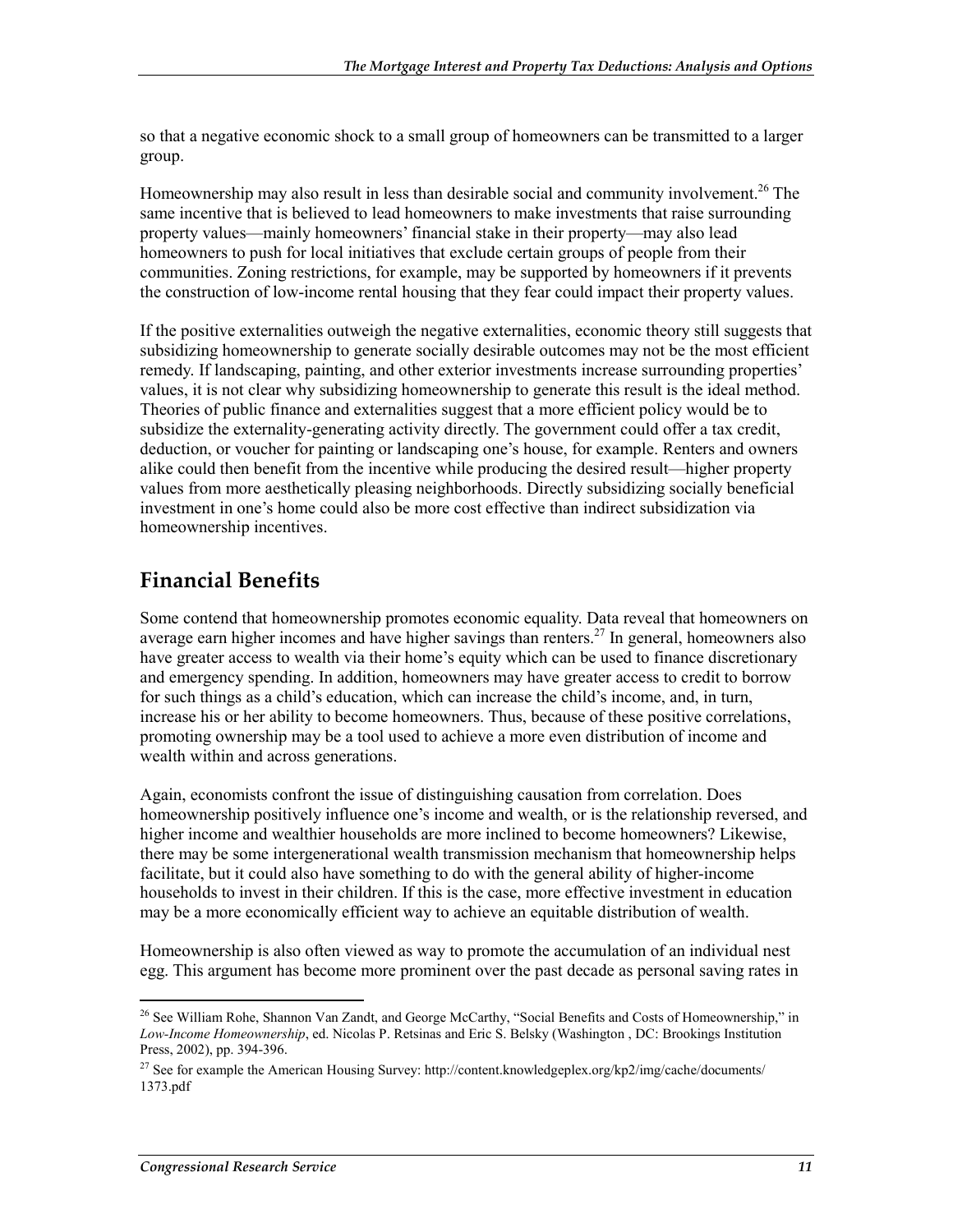so that a negative economic shock to a small group of homeowners can be transmitted to a larger group.

Homeownership may also result in less than desirable social and community involvement.<sup>26</sup> The same incentive that is believed to lead homeowners to make investments that raise surrounding property values—mainly homeowners' financial stake in their property—may also lead homeowners to push for local initiatives that exclude certain groups of people from their communities. Zoning restrictions, for example, may be supported by homeowners if it prevents the construction of low-income rental housing that they fear could impact their property values.

If the positive externalities outweigh the negative externalities, economic theory still suggests that subsidizing homeownership to generate socially desirable outcomes may not be the most efficient remedy. If landscaping, painting, and other exterior investments increase surrounding properties' values, it is not clear why subsidizing homeownership to generate this result is the ideal method. Theories of public finance and externalities suggest that a more efficient policy would be to subsidize the externality-generating activity directly. The government could offer a tax credit, deduction, or voucher for painting or landscaping one's house, for example. Renters and owners alike could then benefit from the incentive while producing the desired result—higher property values from more aesthetically pleasing neighborhoods. Directly subsidizing socially beneficial investment in one's home could also be more cost effective than indirect subsidization via homeownership incentives.

#### **Financial Benefits**

Some contend that homeownership promotes economic equality. Data reveal that homeowners on average earn higher incomes and have higher savings than renters.<sup>27</sup> In general, homeowners also have greater access to wealth via their home's equity which can be used to finance discretionary and emergency spending. In addition, homeowners may have greater access to credit to borrow for such things as a child's education, which can increase the child's income, and, in turn, increase his or her ability to become homeowners. Thus, because of these positive correlations, promoting ownership may be a tool used to achieve a more even distribution of income and wealth within and across generations.

Again, economists confront the issue of distinguishing causation from correlation. Does homeownership positively influence one's income and wealth, or is the relationship reversed, and higher income and wealthier households are more inclined to become homeowners? Likewise, there may be some intergenerational wealth transmission mechanism that homeownership helps facilitate, but it could also have something to do with the general ability of higher-income households to invest in their children. If this is the case, more effective investment in education may be a more economically efficient way to achieve an equitable distribution of wealth.

Homeownership is also often viewed as way to promote the accumulation of an individual nest egg. This argument has become more prominent over the past decade as personal saving rates in

<sup>&</sup>lt;sup>26</sup> See William Rohe, Shannon Van Zandt, and George McCarthy, "Social Benefits and Costs of Homeownership," in *Low-Income Homeownership*, ed. Nicolas P. Retsinas and Eric S. Belsky (Washington , DC: Brookings Institution Press, 2002), pp. 394-396.

<sup>&</sup>lt;sup>27</sup> See for example the American Housing Survey: http://content.knowledgeplex.org/kp2/img/cache/documents/ 1373.pdf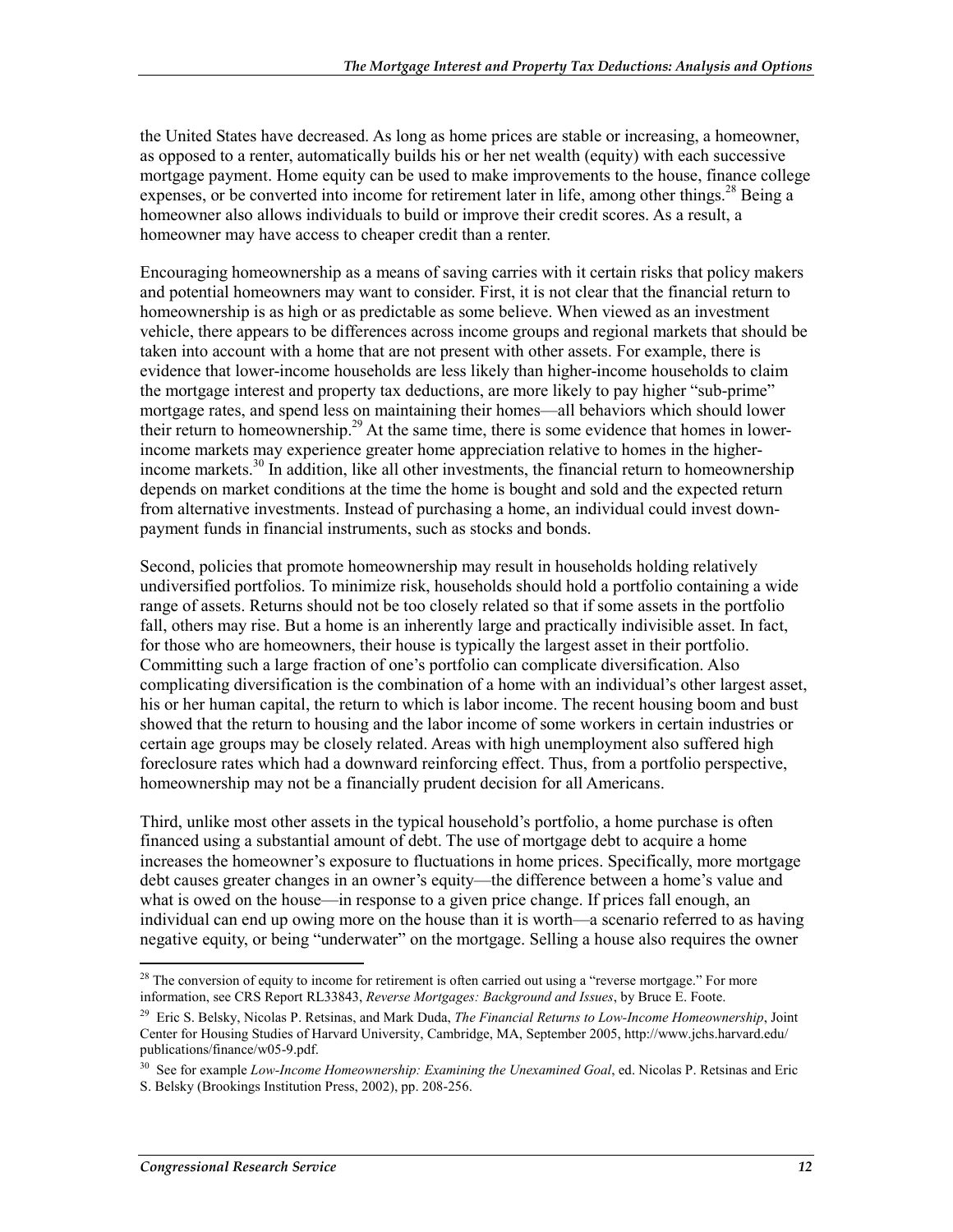the United States have decreased. As long as home prices are stable or increasing, a homeowner, as opposed to a renter, automatically builds his or her net wealth (equity) with each successive mortgage payment. Home equity can be used to make improvements to the house, finance college expenses, or be converted into income for retirement later in life, among other things.<sup>28</sup> Being a homeowner also allows individuals to build or improve their credit scores. As a result, a homeowner may have access to cheaper credit than a renter.

Encouraging homeownership as a means of saving carries with it certain risks that policy makers and potential homeowners may want to consider. First, it is not clear that the financial return to homeownership is as high or as predictable as some believe. When viewed as an investment vehicle, there appears to be differences across income groups and regional markets that should be taken into account with a home that are not present with other assets. For example, there is evidence that lower-income households are less likely than higher-income households to claim the mortgage interest and property tax deductions, are more likely to pay higher "sub-prime" mortgage rates, and spend less on maintaining their homes—all behaviors which should lower their return to homeownership.<sup>29</sup> At the same time, there is some evidence that homes in lowerincome markets may experience greater home appreciation relative to homes in the higherincome markets.<sup>30</sup> In addition, like all other investments, the financial return to homeownership depends on market conditions at the time the home is bought and sold and the expected return from alternative investments. Instead of purchasing a home, an individual could invest downpayment funds in financial instruments, such as stocks and bonds.

Second, policies that promote homeownership may result in households holding relatively undiversified portfolios. To minimize risk, households should hold a portfolio containing a wide range of assets. Returns should not be too closely related so that if some assets in the portfolio fall, others may rise. But a home is an inherently large and practically indivisible asset. In fact, for those who are homeowners, their house is typically the largest asset in their portfolio. Committing such a large fraction of one's portfolio can complicate diversification. Also complicating diversification is the combination of a home with an individual's other largest asset, his or her human capital, the return to which is labor income. The recent housing boom and bust showed that the return to housing and the labor income of some workers in certain industries or certain age groups may be closely related. Areas with high unemployment also suffered high foreclosure rates which had a downward reinforcing effect. Thus, from a portfolio perspective, homeownership may not be a financially prudent decision for all Americans.

Third, unlike most other assets in the typical household's portfolio, a home purchase is often financed using a substantial amount of debt. The use of mortgage debt to acquire a home increases the homeowner's exposure to fluctuations in home prices. Specifically, more mortgage debt causes greater changes in an owner's equity—the difference between a home's value and what is owed on the house—in response to a given price change. If prices fall enough, an individual can end up owing more on the house than it is worth—a scenario referred to as having negative equity, or being "underwater" on the mortgage. Selling a house also requires the owner

<sup>1</sup>  $^{28}$  The conversion of equity to income for retirement is often carried out using a "reverse mortgage." For more information, see CRS Report RL33843, *Reverse Mortgages: Background and Issues*, by Bruce E. Foote.

<sup>29</sup> Eric S. Belsky, Nicolas P. Retsinas, and Mark Duda, *The Financial Returns to Low-Income Homeownership*, Joint Center for Housing Studies of Harvard University, Cambridge, MA, September 2005, http://www.jchs.harvard.edu/ publications/finance/w05-9.pdf.

<sup>30</sup> See for example *Low-Income Homeownership: Examining the Unexamined Goal*, ed. Nicolas P. Retsinas and Eric S. Belsky (Brookings Institution Press, 2002), pp. 208-256.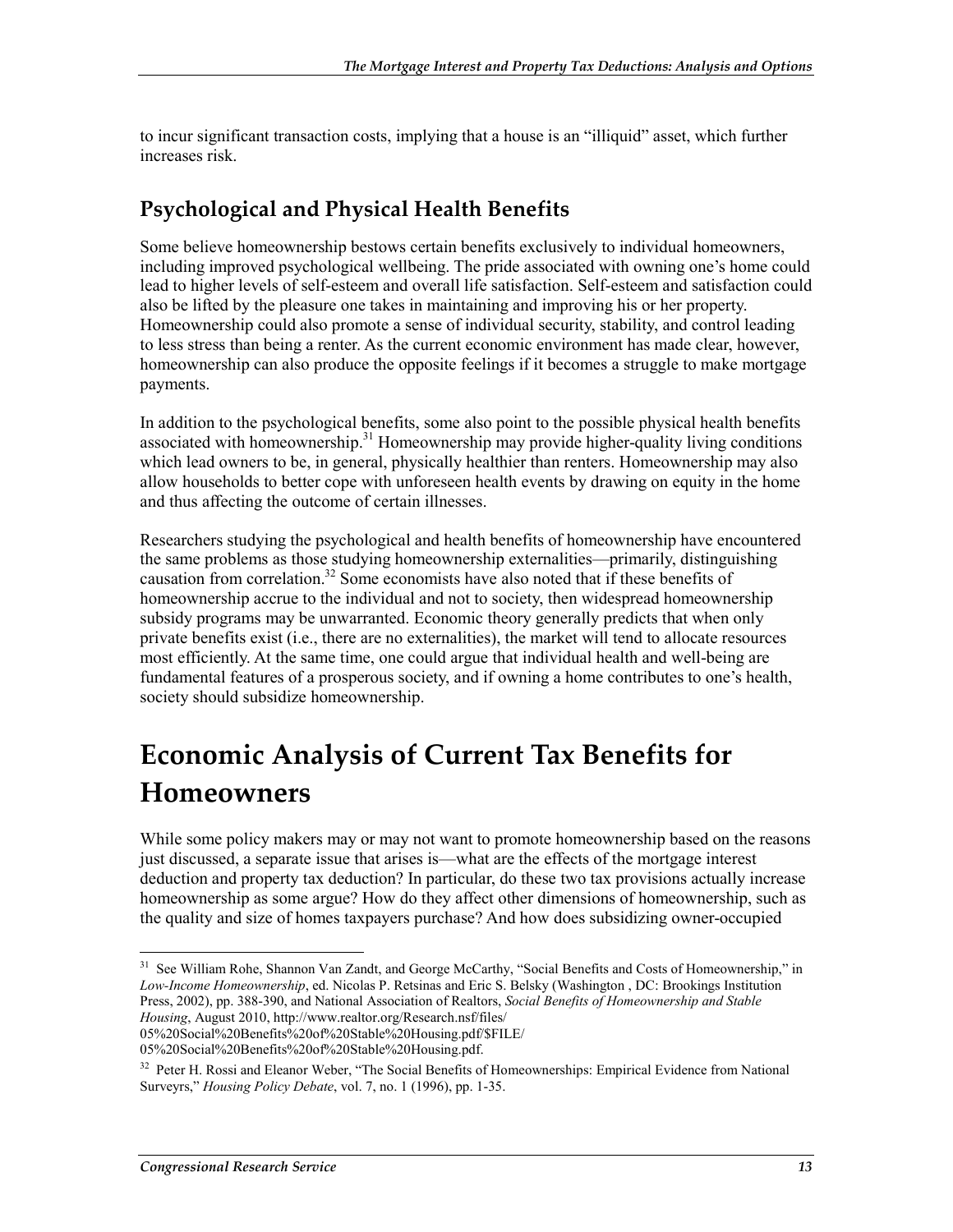to incur significant transaction costs, implying that a house is an "illiquid" asset, which further increases risk.

### **Psychological and Physical Health Benefits**

Some believe homeownership bestows certain benefits exclusively to individual homeowners, including improved psychological wellbeing. The pride associated with owning one's home could lead to higher levels of self-esteem and overall life satisfaction. Self-esteem and satisfaction could also be lifted by the pleasure one takes in maintaining and improving his or her property. Homeownership could also promote a sense of individual security, stability, and control leading to less stress than being a renter. As the current economic environment has made clear, however, homeownership can also produce the opposite feelings if it becomes a struggle to make mortgage payments.

In addition to the psychological benefits, some also point to the possible physical health benefits associated with homeownership.<sup>31</sup> Homeownership may provide higher-quality living conditions which lead owners to be, in general, physically healthier than renters. Homeownership may also allow households to better cope with unforeseen health events by drawing on equity in the home and thus affecting the outcome of certain illnesses.

Researchers studying the psychological and health benefits of homeownership have encountered the same problems as those studying homeownership externalities—primarily, distinguishing causation from correlation.32 Some economists have also noted that if these benefits of homeownership accrue to the individual and not to society, then widespread homeownership subsidy programs may be unwarranted. Economic theory generally predicts that when only private benefits exist (i.e., there are no externalities), the market will tend to allocate resources most efficiently. At the same time, one could argue that individual health and well-being are fundamental features of a prosperous society, and if owning a home contributes to one's health, society should subsidize homeownership.

# **Economic Analysis of Current Tax Benefits for Homeowners**

While some policy makers may or may not want to promote homeownership based on the reasons just discussed, a separate issue that arises is—what are the effects of the mortgage interest deduction and property tax deduction? In particular, do these two tax provisions actually increase homeownership as some argue? How do they affect other dimensions of homeownership, such as the quality and size of homes taxpayers purchase? And how does subsidizing owner-occupied

<sup>1</sup> <sup>31</sup> See William Rohe, Shannon Van Zandt, and George McCarthy, "Social Benefits and Costs of Homeownership," in *Low-Income Homeownership*, ed. Nicolas P. Retsinas and Eric S. Belsky (Washington , DC: Brookings Institution Press, 2002), pp. 388-390, and National Association of Realtors, *Social Benefits of Homeownership and Stable Housing*, August 2010, http://www.realtor.org/Research.nsf/files/

<sup>05%20</sup>Social%20Benefits%20of%20Stable%20Housing.pdf/\$FILE/

<sup>05%20</sup>Social%20Benefits%20of%20Stable%20Housing.pdf.

<sup>&</sup>lt;sup>32</sup> Peter H. Rossi and Eleanor Weber, "The Social Benefits of Homeownerships: Empirical Evidence from National Surveyrs," *Housing Policy Debate*, vol. 7, no. 1 (1996), pp. 1-35.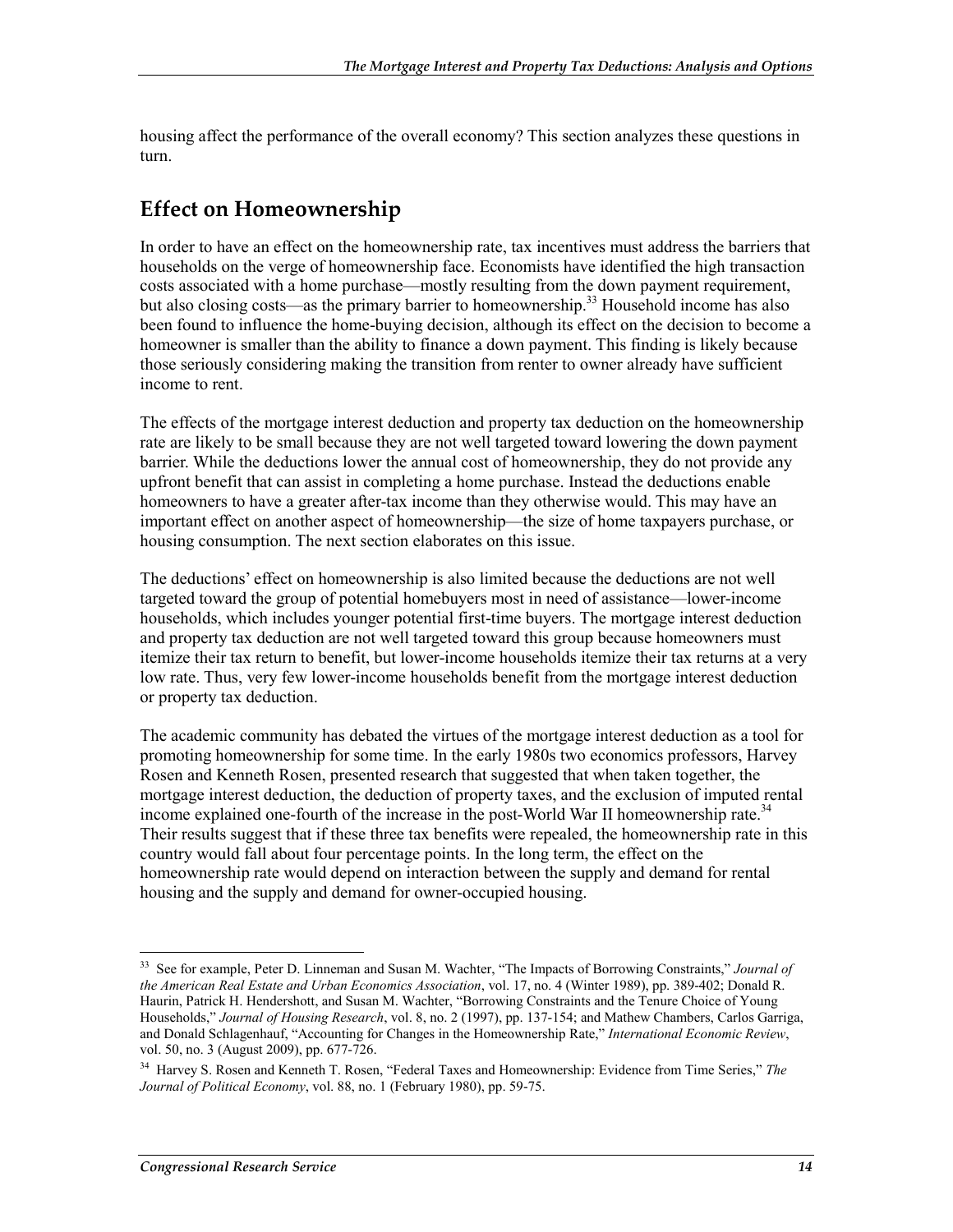housing affect the performance of the overall economy? This section analyzes these questions in turn.

#### **Effect on Homeownership**

In order to have an effect on the homeownership rate, tax incentives must address the barriers that households on the verge of homeownership face. Economists have identified the high transaction costs associated with a home purchase—mostly resulting from the down payment requirement, but also closing costs—as the primary barrier to homeownership.<sup>33</sup> Household income has also been found to influence the home-buying decision, although its effect on the decision to become a homeowner is smaller than the ability to finance a down payment. This finding is likely because those seriously considering making the transition from renter to owner already have sufficient income to rent.

The effects of the mortgage interest deduction and property tax deduction on the homeownership rate are likely to be small because they are not well targeted toward lowering the down payment barrier. While the deductions lower the annual cost of homeownership, they do not provide any upfront benefit that can assist in completing a home purchase. Instead the deductions enable homeowners to have a greater after-tax income than they otherwise would. This may have an important effect on another aspect of homeownership—the size of home taxpayers purchase, or housing consumption. The next section elaborates on this issue.

The deductions' effect on homeownership is also limited because the deductions are not well targeted toward the group of potential homebuyers most in need of assistance—lower-income households, which includes younger potential first-time buyers. The mortgage interest deduction and property tax deduction are not well targeted toward this group because homeowners must itemize their tax return to benefit, but lower-income households itemize their tax returns at a very low rate. Thus, very few lower-income households benefit from the mortgage interest deduction or property tax deduction.

The academic community has debated the virtues of the mortgage interest deduction as a tool for promoting homeownership for some time. In the early 1980s two economics professors, Harvey Rosen and Kenneth Rosen, presented research that suggested that when taken together, the mortgage interest deduction, the deduction of property taxes, and the exclusion of imputed rental income explained one-fourth of the increase in the post-World War II homeownership rate.<sup>34</sup> Their results suggest that if these three tax benefits were repealed, the homeownership rate in this country would fall about four percentage points. In the long term, the effect on the homeownership rate would depend on interaction between the supply and demand for rental housing and the supply and demand for owner-occupied housing.

<sup>33</sup> See for example, Peter D. Linneman and Susan M. Wachter, "The Impacts of Borrowing Constraints," *Journal of the American Real Estate and Urban Economics Association*, vol. 17, no. 4 (Winter 1989), pp. 389-402; Donald R. Haurin, Patrick H. Hendershott, and Susan M. Wachter, "Borrowing Constraints and the Tenure Choice of Young Households," *Journal of Housing Research*, vol. 8, no. 2 (1997), pp. 137-154; and Mathew Chambers, Carlos Garriga, and Donald Schlagenhauf, "Accounting for Changes in the Homeownership Rate," *International Economic Review*, vol. 50, no. 3 (August 2009), pp. 677-726.

<sup>34</sup> Harvey S. Rosen and Kenneth T. Rosen, "Federal Taxes and Homeownership: Evidence from Time Series," *The Journal of Political Economy*, vol. 88, no. 1 (February 1980), pp. 59-75.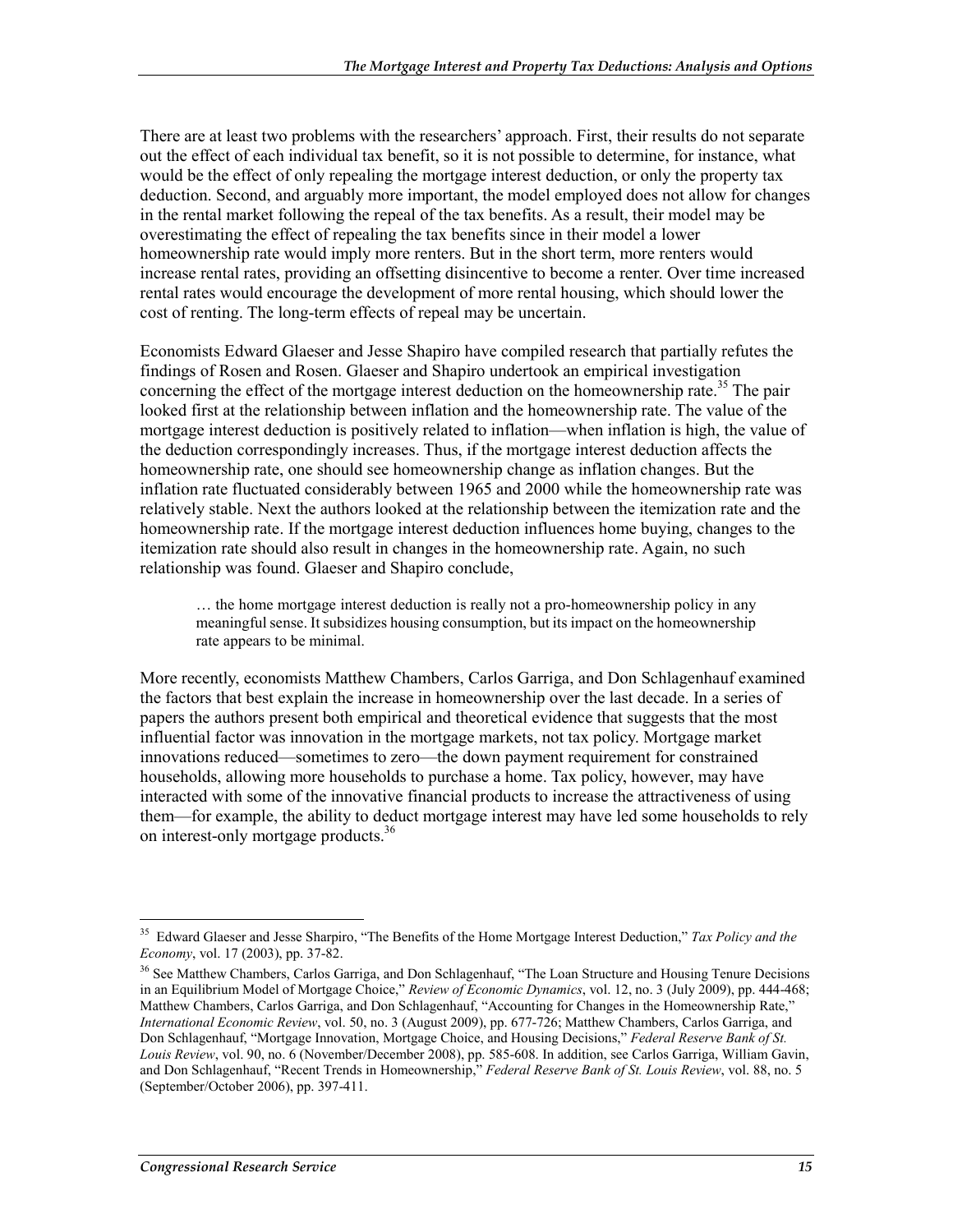There are at least two problems with the researchers' approach. First, their results do not separate out the effect of each individual tax benefit, so it is not possible to determine, for instance, what would be the effect of only repealing the mortgage interest deduction, or only the property tax deduction. Second, and arguably more important, the model employed does not allow for changes in the rental market following the repeal of the tax benefits. As a result, their model may be overestimating the effect of repealing the tax benefits since in their model a lower homeownership rate would imply more renters. But in the short term, more renters would increase rental rates, providing an offsetting disincentive to become a renter. Over time increased rental rates would encourage the development of more rental housing, which should lower the cost of renting. The long-term effects of repeal may be uncertain.

Economists Edward Glaeser and Jesse Shapiro have compiled research that partially refutes the findings of Rosen and Rosen. Glaeser and Shapiro undertook an empirical investigation concerning the effect of the mortgage interest deduction on the homeownership rate.<sup>35</sup> The pair looked first at the relationship between inflation and the homeownership rate. The value of the mortgage interest deduction is positively related to inflation—when inflation is high, the value of the deduction correspondingly increases. Thus, if the mortgage interest deduction affects the homeownership rate, one should see homeownership change as inflation changes. But the inflation rate fluctuated considerably between 1965 and 2000 while the homeownership rate was relatively stable. Next the authors looked at the relationship between the itemization rate and the homeownership rate. If the mortgage interest deduction influences home buying, changes to the itemization rate should also result in changes in the homeownership rate. Again, no such relationship was found. Glaeser and Shapiro conclude,

… the home mortgage interest deduction is really not a pro-homeownership policy in any meaningful sense. It subsidizes housing consumption, but its impact on the homeownership rate appears to be minimal.

More recently, economists Matthew Chambers, Carlos Garriga, and Don Schlagenhauf examined the factors that best explain the increase in homeownership over the last decade. In a series of papers the authors present both empirical and theoretical evidence that suggests that the most influential factor was innovation in the mortgage markets, not tax policy. Mortgage market innovations reduced—sometimes to zero—the down payment requirement for constrained households, allowing more households to purchase a home. Tax policy, however, may have interacted with some of the innovative financial products to increase the attractiveness of using them—for example, the ability to deduct mortgage interest may have led some households to rely on interest-only mortgage products.<sup>36</sup>

<sup>1</sup> 35 Edward Glaeser and Jesse Sharpiro, "The Benefits of the Home Mortgage Interest Deduction," *Tax Policy and the Economy*, vol. 17 (2003), pp. 37-82.

<sup>&</sup>lt;sup>36</sup> See Matthew Chambers, Carlos Garriga, and Don Schlagenhauf, "The Loan Structure and Housing Tenure Decisions in an Equilibrium Model of Mortgage Choice," *Review of Economic Dynamics*, vol. 12, no. 3 (July 2009), pp. 444-468; Matthew Chambers, Carlos Garriga, and Don Schlagenhauf, "Accounting for Changes in the Homeownership Rate," *International Economic Review*, vol. 50, no. 3 (August 2009), pp. 677-726; Matthew Chambers, Carlos Garriga, and Don Schlagenhauf, "Mortgage Innovation, Mortgage Choice, and Housing Decisions," *Federal Reserve Bank of St. Louis Review*, vol. 90, no. 6 (November/December 2008), pp. 585-608. In addition, see Carlos Garriga, William Gavin, and Don Schlagenhauf, "Recent Trends in Homeownership," *Federal Reserve Bank of St. Louis Review*, vol. 88, no. 5 (September/October 2006), pp. 397-411.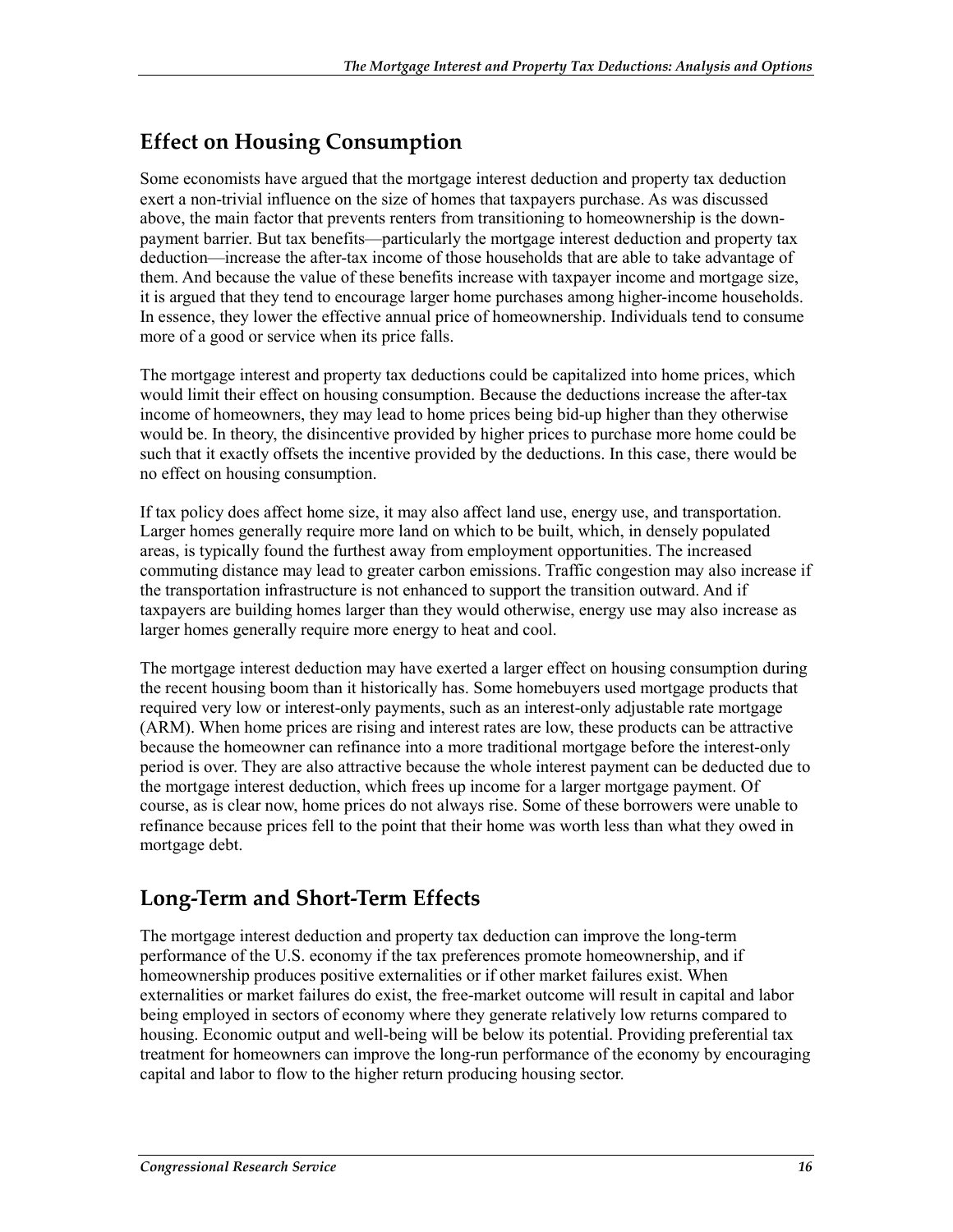### **Effect on Housing Consumption**

Some economists have argued that the mortgage interest deduction and property tax deduction exert a non-trivial influence on the size of homes that taxpayers purchase. As was discussed above, the main factor that prevents renters from transitioning to homeownership is the downpayment barrier. But tax benefits—particularly the mortgage interest deduction and property tax deduction—increase the after-tax income of those households that are able to take advantage of them. And because the value of these benefits increase with taxpayer income and mortgage size, it is argued that they tend to encourage larger home purchases among higher-income households. In essence, they lower the effective annual price of homeownership. Individuals tend to consume more of a good or service when its price falls.

The mortgage interest and property tax deductions could be capitalized into home prices, which would limit their effect on housing consumption. Because the deductions increase the after-tax income of homeowners, they may lead to home prices being bid-up higher than they otherwise would be. In theory, the disincentive provided by higher prices to purchase more home could be such that it exactly offsets the incentive provided by the deductions. In this case, there would be no effect on housing consumption.

If tax policy does affect home size, it may also affect land use, energy use, and transportation. Larger homes generally require more land on which to be built, which, in densely populated areas, is typically found the furthest away from employment opportunities. The increased commuting distance may lead to greater carbon emissions. Traffic congestion may also increase if the transportation infrastructure is not enhanced to support the transition outward. And if taxpayers are building homes larger than they would otherwise, energy use may also increase as larger homes generally require more energy to heat and cool.

The mortgage interest deduction may have exerted a larger effect on housing consumption during the recent housing boom than it historically has. Some homebuyers used mortgage products that required very low or interest-only payments, such as an interest-only adjustable rate mortgage (ARM). When home prices are rising and interest rates are low, these products can be attractive because the homeowner can refinance into a more traditional mortgage before the interest-only period is over. They are also attractive because the whole interest payment can be deducted due to the mortgage interest deduction, which frees up income for a larger mortgage payment. Of course, as is clear now, home prices do not always rise. Some of these borrowers were unable to refinance because prices fell to the point that their home was worth less than what they owed in mortgage debt.

#### **Long-Term and Short-Term Effects**

The mortgage interest deduction and property tax deduction can improve the long-term performance of the U.S. economy if the tax preferences promote homeownership, and if homeownership produces positive externalities or if other market failures exist. When externalities or market failures do exist, the free-market outcome will result in capital and labor being employed in sectors of economy where they generate relatively low returns compared to housing. Economic output and well-being will be below its potential. Providing preferential tax treatment for homeowners can improve the long-run performance of the economy by encouraging capital and labor to flow to the higher return producing housing sector.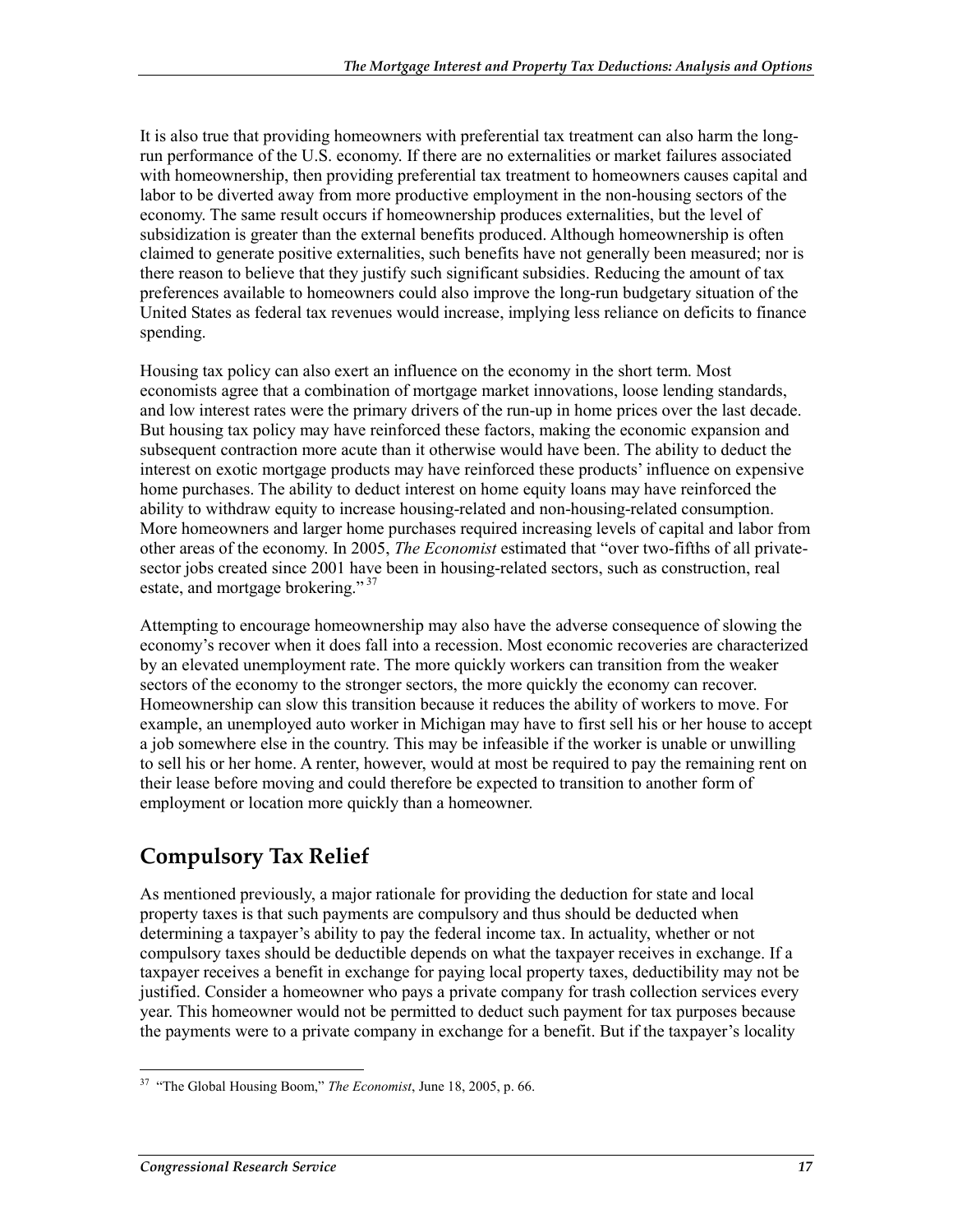It is also true that providing homeowners with preferential tax treatment can also harm the longrun performance of the U.S. economy. If there are no externalities or market failures associated with homeownership, then providing preferential tax treatment to homeowners causes capital and labor to be diverted away from more productive employment in the non-housing sectors of the economy. The same result occurs if homeownership produces externalities, but the level of subsidization is greater than the external benefits produced. Although homeownership is often claimed to generate positive externalities, such benefits have not generally been measured; nor is there reason to believe that they justify such significant subsidies. Reducing the amount of tax preferences available to homeowners could also improve the long-run budgetary situation of the United States as federal tax revenues would increase, implying less reliance on deficits to finance spending.

Housing tax policy can also exert an influence on the economy in the short term. Most economists agree that a combination of mortgage market innovations, loose lending standards, and low interest rates were the primary drivers of the run-up in home prices over the last decade. But housing tax policy may have reinforced these factors, making the economic expansion and subsequent contraction more acute than it otherwise would have been. The ability to deduct the interest on exotic mortgage products may have reinforced these products' influence on expensive home purchases. The ability to deduct interest on home equity loans may have reinforced the ability to withdraw equity to increase housing-related and non-housing-related consumption. More homeowners and larger home purchases required increasing levels of capital and labor from other areas of the economy. In 2005, *The Economist* estimated that "over two-fifths of all privatesector jobs created since 2001 have been in housing-related sectors, such as construction, real estate, and mortgage brokering."<sup>37</sup>

Attempting to encourage homeownership may also have the adverse consequence of slowing the economy's recover when it does fall into a recession. Most economic recoveries are characterized by an elevated unemployment rate. The more quickly workers can transition from the weaker sectors of the economy to the stronger sectors, the more quickly the economy can recover. Homeownership can slow this transition because it reduces the ability of workers to move. For example, an unemployed auto worker in Michigan may have to first sell his or her house to accept a job somewhere else in the country. This may be infeasible if the worker is unable or unwilling to sell his or her home. A renter, however, would at most be required to pay the remaining rent on their lease before moving and could therefore be expected to transition to another form of employment or location more quickly than a homeowner.

#### **Compulsory Tax Relief**

As mentioned previously, a major rationale for providing the deduction for state and local property taxes is that such payments are compulsory and thus should be deducted when determining a taxpayer's ability to pay the federal income tax. In actuality, whether or not compulsory taxes should be deductible depends on what the taxpayer receives in exchange. If a taxpayer receives a benefit in exchange for paying local property taxes, deductibility may not be justified. Consider a homeowner who pays a private company for trash collection services every year. This homeowner would not be permitted to deduct such payment for tax purposes because the payments were to a private company in exchange for a benefit. But if the taxpayer's locality

<sup>&</sup>lt;u>.</u> 37 "The Global Housing Boom," *The Economist*, June 18, 2005, p. 66.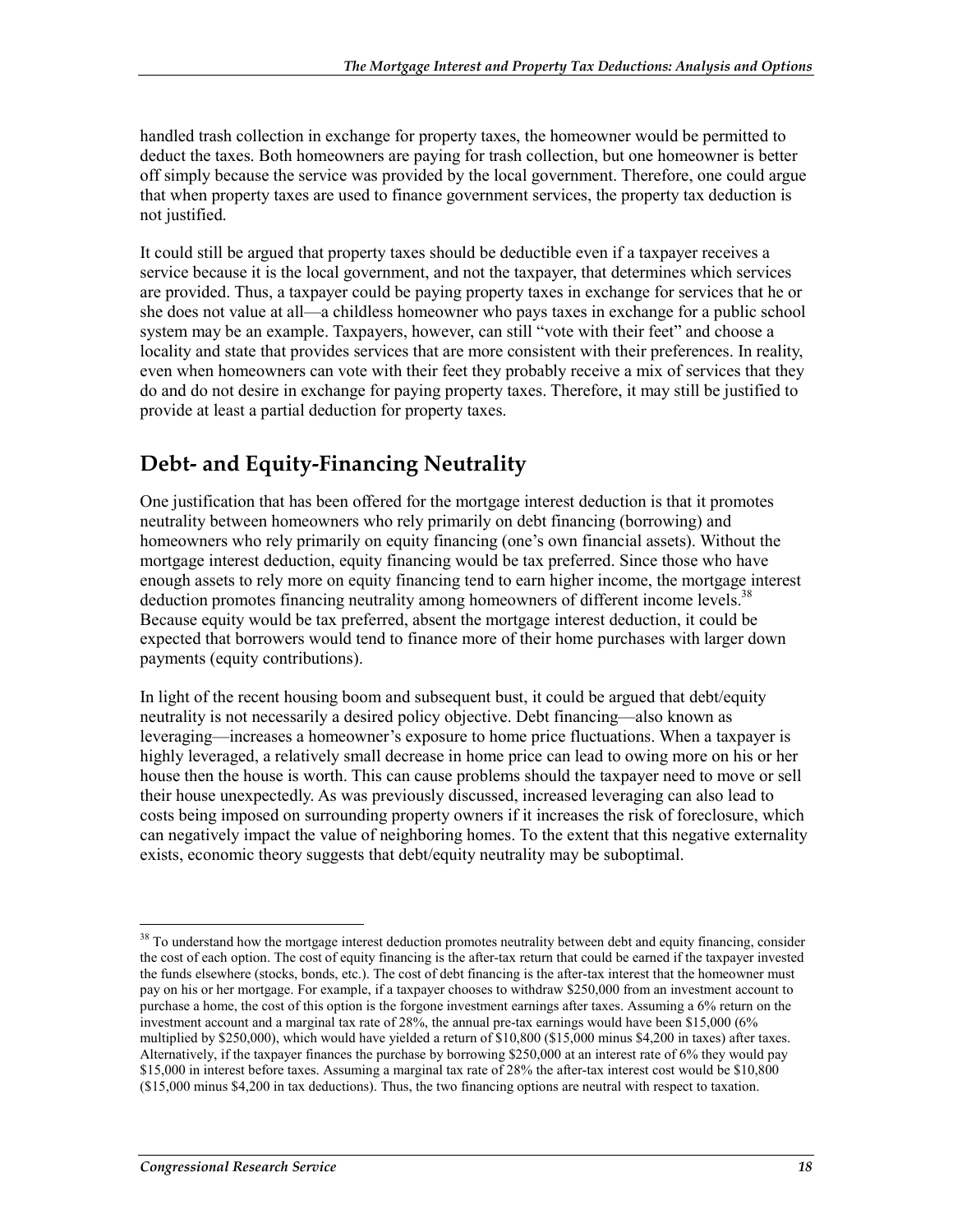handled trash collection in exchange for property taxes, the homeowner would be permitted to deduct the taxes. Both homeowners are paying for trash collection, but one homeowner is better off simply because the service was provided by the local government. Therefore, one could argue that when property taxes are used to finance government services, the property tax deduction is not justified.

It could still be argued that property taxes should be deductible even if a taxpayer receives a service because it is the local government, and not the taxpayer, that determines which services are provided. Thus, a taxpayer could be paying property taxes in exchange for services that he or she does not value at all—a childless homeowner who pays taxes in exchange for a public school system may be an example. Taxpayers, however, can still "vote with their feet" and choose a locality and state that provides services that are more consistent with their preferences. In reality, even when homeowners can vote with their feet they probably receive a mix of services that they do and do not desire in exchange for paying property taxes. Therefore, it may still be justified to provide at least a partial deduction for property taxes.

### **Debt- and Equity-Financing Neutrality**

One justification that has been offered for the mortgage interest deduction is that it promotes neutrality between homeowners who rely primarily on debt financing (borrowing) and homeowners who rely primarily on equity financing (one's own financial assets). Without the mortgage interest deduction, equity financing would be tax preferred. Since those who have enough assets to rely more on equity financing tend to earn higher income, the mortgage interest deduction promotes financing neutrality among homeowners of different income levels.<sup>38</sup> Because equity would be tax preferred, absent the mortgage interest deduction, it could be expected that borrowers would tend to finance more of their home purchases with larger down payments (equity contributions).

In light of the recent housing boom and subsequent bust, it could be argued that debt/equity neutrality is not necessarily a desired policy objective. Debt financing—also known as leveraging—increases a homeowner's exposure to home price fluctuations. When a taxpayer is highly leveraged, a relatively small decrease in home price can lead to owing more on his or her house then the house is worth. This can cause problems should the taxpayer need to move or sell their house unexpectedly. As was previously discussed, increased leveraging can also lead to costs being imposed on surrounding property owners if it increases the risk of foreclosure, which can negatively impact the value of neighboring homes. To the extent that this negative externality exists, economic theory suggests that debt/equity neutrality may be suboptimal.

<sup>1</sup> <sup>38</sup> To understand how the mortgage interest deduction promotes neutrality between debt and equity financing, consider the cost of each option. The cost of equity financing is the after-tax return that could be earned if the taxpayer invested the funds elsewhere (stocks, bonds, etc.). The cost of debt financing is the after-tax interest that the homeowner must pay on his or her mortgage. For example, if a taxpayer chooses to withdraw \$250,000 from an investment account to purchase a home, the cost of this option is the forgone investment earnings after taxes. Assuming a 6% return on the investment account and a marginal tax rate of 28%, the annual pre-tax earnings would have been \$15,000 (6% multiplied by \$250,000), which would have yielded a return of \$10,800 (\$15,000 minus \$4,200 in taxes) after taxes. Alternatively, if the taxpayer finances the purchase by borrowing \$250,000 at an interest rate of 6% they would pay \$15,000 in interest before taxes. Assuming a marginal tax rate of 28% the after-tax interest cost would be \$10,800 (\$15,000 minus \$4,200 in tax deductions). Thus, the two financing options are neutral with respect to taxation.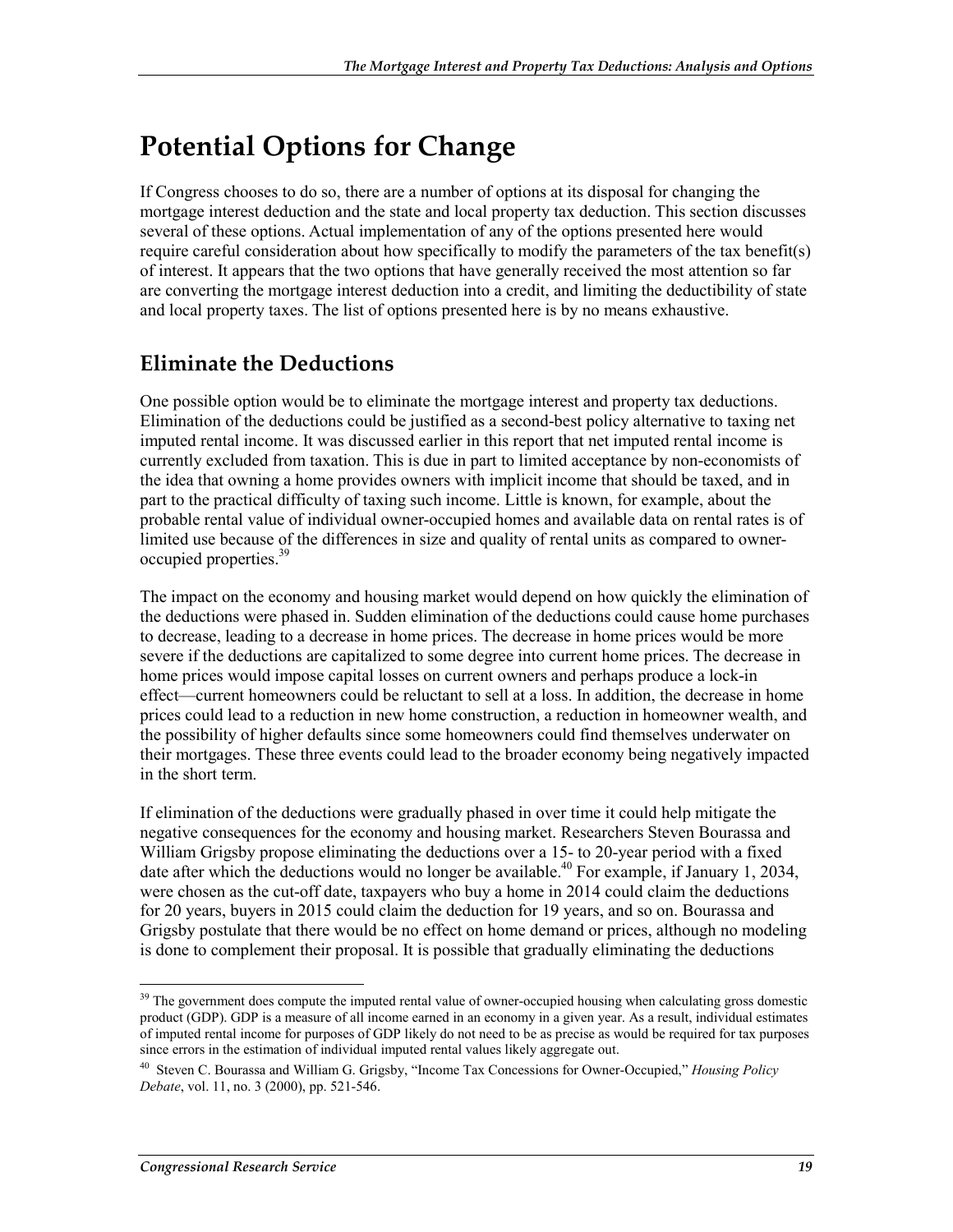# **Potential Options for Change**

If Congress chooses to do so, there are a number of options at its disposal for changing the mortgage interest deduction and the state and local property tax deduction. This section discusses several of these options. Actual implementation of any of the options presented here would require careful consideration about how specifically to modify the parameters of the tax benefit(s) of interest. It appears that the two options that have generally received the most attention so far are converting the mortgage interest deduction into a credit, and limiting the deductibility of state and local property taxes. The list of options presented here is by no means exhaustive.

#### **Eliminate the Deductions**

One possible option would be to eliminate the mortgage interest and property tax deductions. Elimination of the deductions could be justified as a second-best policy alternative to taxing net imputed rental income. It was discussed earlier in this report that net imputed rental income is currently excluded from taxation. This is due in part to limited acceptance by non-economists of the idea that owning a home provides owners with implicit income that should be taxed, and in part to the practical difficulty of taxing such income. Little is known, for example, about the probable rental value of individual owner-occupied homes and available data on rental rates is of limited use because of the differences in size and quality of rental units as compared to owneroccupied properties.<sup>39</sup>

The impact on the economy and housing market would depend on how quickly the elimination of the deductions were phased in. Sudden elimination of the deductions could cause home purchases to decrease, leading to a decrease in home prices. The decrease in home prices would be more severe if the deductions are capitalized to some degree into current home prices. The decrease in home prices would impose capital losses on current owners and perhaps produce a lock-in effect—current homeowners could be reluctant to sell at a loss. In addition, the decrease in home prices could lead to a reduction in new home construction, a reduction in homeowner wealth, and the possibility of higher defaults since some homeowners could find themselves underwater on their mortgages. These three events could lead to the broader economy being negatively impacted in the short term.

If elimination of the deductions were gradually phased in over time it could help mitigate the negative consequences for the economy and housing market. Researchers Steven Bourassa and William Grigsby propose eliminating the deductions over a 15- to 20-year period with a fixed date after which the deductions would no longer be available.<sup>40</sup> For example, if January 1, 2034, were chosen as the cut-off date, taxpayers who buy a home in 2014 could claim the deductions for 20 years, buyers in 2015 could claim the deduction for 19 years, and so on. Bourassa and Grigsby postulate that there would be no effect on home demand or prices, although no modeling is done to complement their proposal. It is possible that gradually eliminating the deductions

<sup>1</sup> <sup>39</sup> The government does compute the imputed rental value of owner-occupied housing when calculating gross domestic product (GDP). GDP is a measure of all income earned in an economy in a given year. As a result, individual estimates of imputed rental income for purposes of GDP likely do not need to be as precise as would be required for tax purposes since errors in the estimation of individual imputed rental values likely aggregate out.

<sup>40</sup> Steven C. Bourassa and William G. Grigsby, "Income Tax Concessions for Owner-Occupied," *Housing Policy Debate*, vol. 11, no. 3 (2000), pp. 521-546.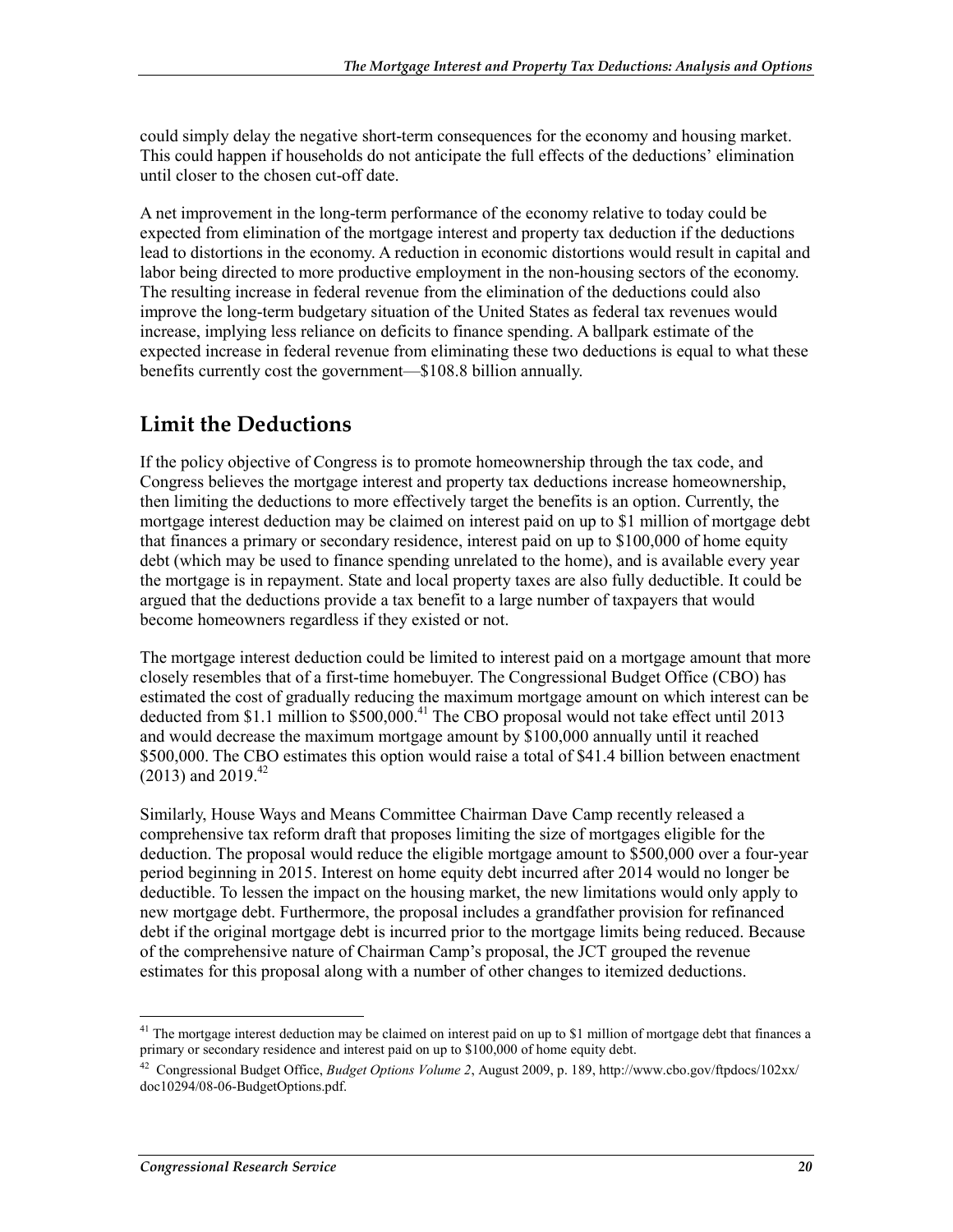could simply delay the negative short-term consequences for the economy and housing market. This could happen if households do not anticipate the full effects of the deductions' elimination until closer to the chosen cut-off date.

A net improvement in the long-term performance of the economy relative to today could be expected from elimination of the mortgage interest and property tax deduction if the deductions lead to distortions in the economy. A reduction in economic distortions would result in capital and labor being directed to more productive employment in the non-housing sectors of the economy. The resulting increase in federal revenue from the elimination of the deductions could also improve the long-term budgetary situation of the United States as federal tax revenues would increase, implying less reliance on deficits to finance spending. A ballpark estimate of the expected increase in federal revenue from eliminating these two deductions is equal to what these benefits currently cost the government—\$108.8 billion annually.

#### **Limit the Deductions**

If the policy objective of Congress is to promote homeownership through the tax code, and Congress believes the mortgage interest and property tax deductions increase homeownership, then limiting the deductions to more effectively target the benefits is an option. Currently, the mortgage interest deduction may be claimed on interest paid on up to \$1 million of mortgage debt that finances a primary or secondary residence, interest paid on up to \$100,000 of home equity debt (which may be used to finance spending unrelated to the home), and is available every year the mortgage is in repayment. State and local property taxes are also fully deductible. It could be argued that the deductions provide a tax benefit to a large number of taxpayers that would become homeowners regardless if they existed or not.

The mortgage interest deduction could be limited to interest paid on a mortgage amount that more closely resembles that of a first-time homebuyer. The Congressional Budget Office (CBO) has estimated the cost of gradually reducing the maximum mortgage amount on which interest can be deducted from \$1.1 million to  $$500,000$ <sup>41</sup> The CBO proposal would not take effect until 2013 and would decrease the maximum mortgage amount by \$100,000 annually until it reached \$500,000. The CBO estimates this option would raise a total of \$41.4 billion between enactment  $(2013)$  and  $2019<sup>42</sup>$ 

Similarly, House Ways and Means Committee Chairman Dave Camp recently released a comprehensive tax reform draft that proposes limiting the size of mortgages eligible for the deduction. The proposal would reduce the eligible mortgage amount to \$500,000 over a four-year period beginning in 2015. Interest on home equity debt incurred after 2014 would no longer be deductible. To lessen the impact on the housing market, the new limitations would only apply to new mortgage debt. Furthermore, the proposal includes a grandfather provision for refinanced debt if the original mortgage debt is incurred prior to the mortgage limits being reduced. Because of the comprehensive nature of Chairman Camp's proposal, the JCT grouped the revenue estimates for this proposal along with a number of other changes to itemized deductions.

<sup>&</sup>lt;sup>41</sup> The mortgage interest deduction may be claimed on interest paid on up to \$1 million of mortgage debt that finances a primary or secondary residence and interest paid on up to \$100,000 of home equity debt.

<sup>42</sup> Congressional Budget Office, *Budget Options Volume 2*, August 2009, p. 189, http://www.cbo.gov/ftpdocs/102xx/ doc10294/08-06-BudgetOptions.pdf.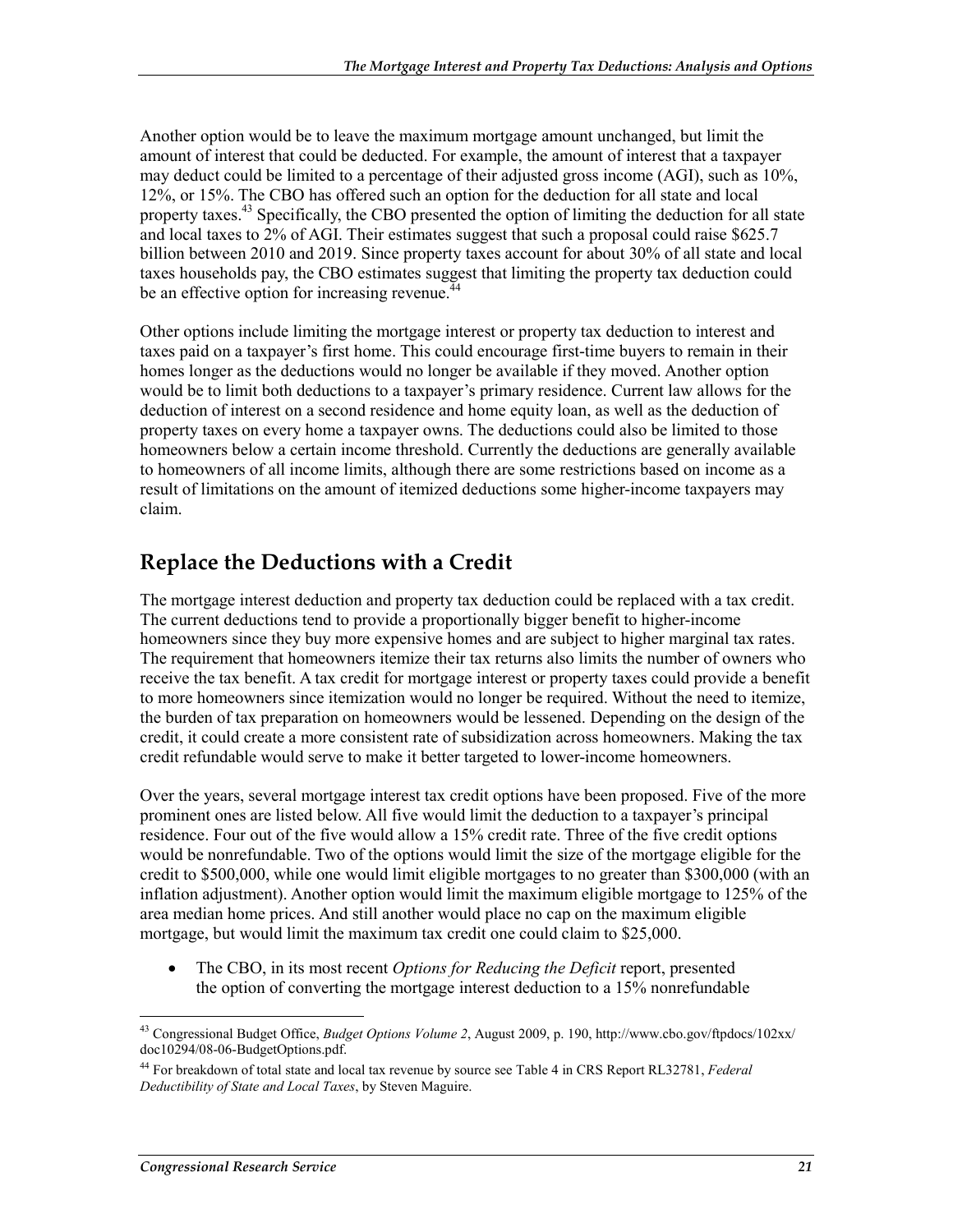Another option would be to leave the maximum mortgage amount unchanged, but limit the amount of interest that could be deducted. For example, the amount of interest that a taxpayer may deduct could be limited to a percentage of their adjusted gross income (AGI), such as 10%, 12%, or 15%. The CBO has offered such an option for the deduction for all state and local property taxes.<sup>43</sup> Specifically, the CBO presented the option of limiting the deduction for all state and local taxes to 2% of AGI. Their estimates suggest that such a proposal could raise \$625.7 billion between 2010 and 2019. Since property taxes account for about 30% of all state and local taxes households pay, the CBO estimates suggest that limiting the property tax deduction could be an effective option for increasing revenue.<sup>44</sup>

Other options include limiting the mortgage interest or property tax deduction to interest and taxes paid on a taxpayer's first home. This could encourage first-time buyers to remain in their homes longer as the deductions would no longer be available if they moved. Another option would be to limit both deductions to a taxpayer's primary residence. Current law allows for the deduction of interest on a second residence and home equity loan, as well as the deduction of property taxes on every home a taxpayer owns. The deductions could also be limited to those homeowners below a certain income threshold. Currently the deductions are generally available to homeowners of all income limits, although there are some restrictions based on income as a result of limitations on the amount of itemized deductions some higher-income taxpayers may claim.

#### **Replace the Deductions with a Credit**

The mortgage interest deduction and property tax deduction could be replaced with a tax credit. The current deductions tend to provide a proportionally bigger benefit to higher-income homeowners since they buy more expensive homes and are subject to higher marginal tax rates. The requirement that homeowners itemize their tax returns also limits the number of owners who receive the tax benefit. A tax credit for mortgage interest or property taxes could provide a benefit to more homeowners since itemization would no longer be required. Without the need to itemize, the burden of tax preparation on homeowners would be lessened. Depending on the design of the credit, it could create a more consistent rate of subsidization across homeowners. Making the tax credit refundable would serve to make it better targeted to lower-income homeowners.

Over the years, several mortgage interest tax credit options have been proposed. Five of the more prominent ones are listed below. All five would limit the deduction to a taxpayer's principal residence. Four out of the five would allow a 15% credit rate. Three of the five credit options would be nonrefundable. Two of the options would limit the size of the mortgage eligible for the credit to \$500,000, while one would limit eligible mortgages to no greater than \$300,000 (with an inflation adjustment). Another option would limit the maximum eligible mortgage to 125% of the area median home prices. And still another would place no cap on the maximum eligible mortgage, but would limit the maximum tax credit one could claim to \$25,000.

• The CBO, in its most recent *Options for Reducing the Deficit* report, presented the option of converting the mortgage interest deduction to a 15% nonrefundable

<sup>43</sup> Congressional Budget Office, *Budget Options Volume 2*, August 2009, p. 190, http://www.cbo.gov/ftpdocs/102xx/ doc10294/08-06-BudgetOptions.pdf.

<sup>44</sup> For breakdown of total state and local tax revenue by source see Table 4 in CRS Report RL32781, *Federal Deductibility of State and Local Taxes*, by Steven Maguire.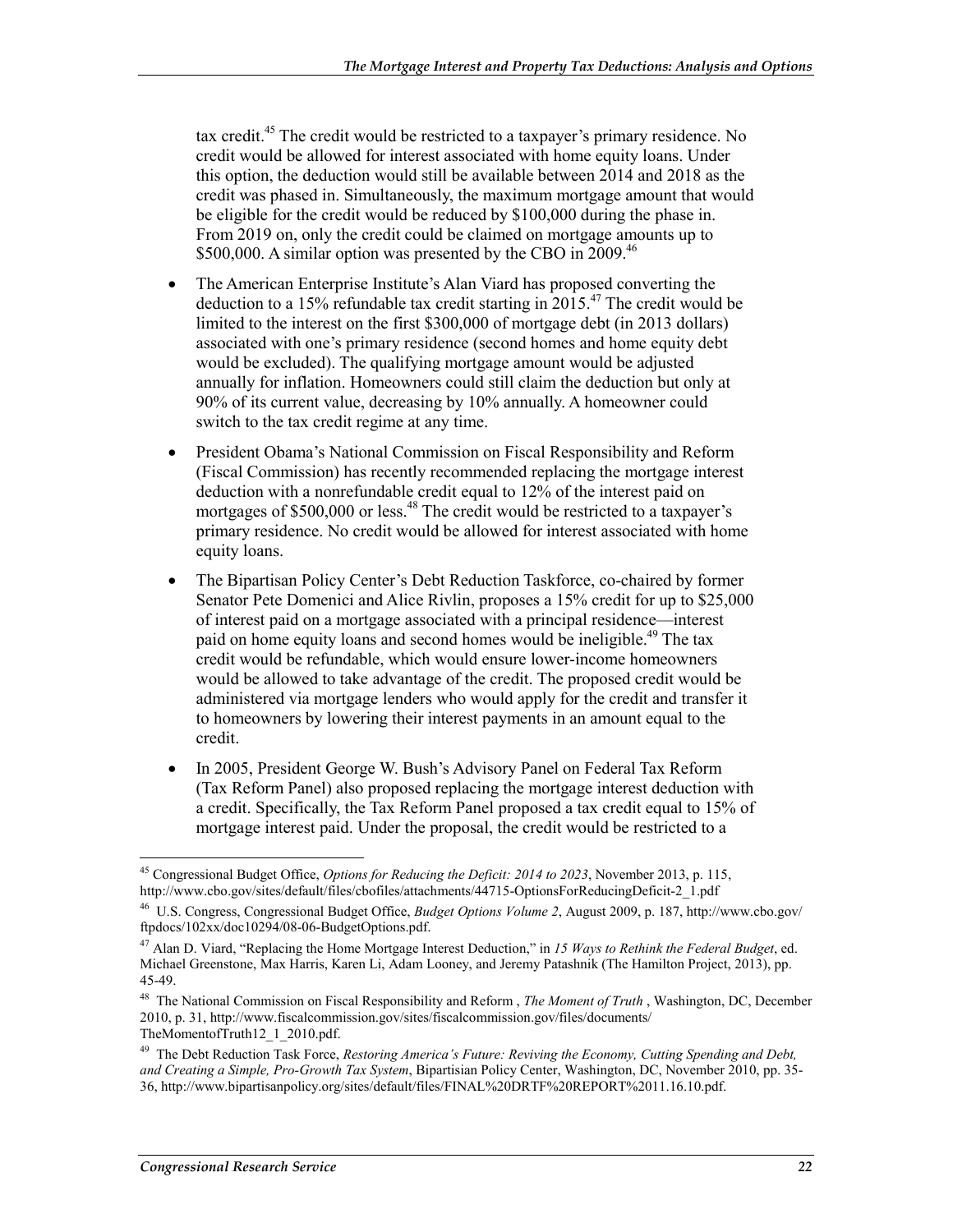tax credit.45 The credit would be restricted to a taxpayer's primary residence. No credit would be allowed for interest associated with home equity loans. Under this option, the deduction would still be available between 2014 and 2018 as the credit was phased in. Simultaneously, the maximum mortgage amount that would be eligible for the credit would be reduced by \$100,000 during the phase in. From 2019 on, only the credit could be claimed on mortgage amounts up to \$500,000. A similar option was presented by the CBO in 2009.<sup>46</sup>

- The American Enterprise Institute's Alan Viard has proposed converting the deduction to a 15% refundable tax credit starting in 2015.<sup>47</sup> The credit would be limited to the interest on the first \$300,000 of mortgage debt (in 2013 dollars) associated with one's primary residence (second homes and home equity debt would be excluded). The qualifying mortgage amount would be adjusted annually for inflation. Homeowners could still claim the deduction but only at 90% of its current value, decreasing by 10% annually. A homeowner could switch to the tax credit regime at any time.
- President Obama's National Commission on Fiscal Responsibility and Reform (Fiscal Commission) has recently recommended replacing the mortgage interest deduction with a nonrefundable credit equal to 12% of the interest paid on mortgages of \$500,000 or less.<sup>48</sup> The credit would be restricted to a taxpayer's primary residence. No credit would be allowed for interest associated with home equity loans.
- The Bipartisan Policy Center's Debt Reduction Taskforce, co-chaired by former Senator Pete Domenici and Alice Rivlin, proposes a 15% credit for up to \$25,000 of interest paid on a mortgage associated with a principal residence—interest paid on home equity loans and second homes would be ineligible.<sup>49</sup> The tax credit would be refundable, which would ensure lower-income homeowners would be allowed to take advantage of the credit. The proposed credit would be administered via mortgage lenders who would apply for the credit and transfer it to homeowners by lowering their interest payments in an amount equal to the credit.
- In 2005, President George W. Bush's Advisory Panel on Federal Tax Reform (Tax Reform Panel) also proposed replacing the mortgage interest deduction with a credit. Specifically, the Tax Reform Panel proposed a tax credit equal to 15% of mortgage interest paid. Under the proposal, the credit would be restricted to a

<u>.</u>

<sup>45</sup> Congressional Budget Office, *Options for Reducing the Deficit: 2014 to 2023*, November 2013, p. 115, http://www.cbo.gov/sites/default/files/cbofiles/attachments/44715-OptionsForReducingDeficit-2\_1.pdf

<sup>46</sup> U.S. Congress, Congressional Budget Office, *Budget Options Volume 2*, August 2009, p. 187, http://www.cbo.gov/ ftpdocs/102xx/doc10294/08-06-BudgetOptions.pdf.

<sup>47</sup> Alan D. Viard, "Replacing the Home Mortgage Interest Deduction," in *15 Ways to Rethink the Federal Budget*, ed. Michael Greenstone, Max Harris, Karen Li, Adam Looney, and Jeremy Patashnik (The Hamilton Project, 2013), pp. 45-49.

<sup>48</sup> The National Commission on Fiscal Responsibility and Reform , *The Moment of Truth* , Washington, DC, December 2010, p. 31, http://www.fiscalcommission.gov/sites/fiscalcommission.gov/files/documents/ TheMomentofTruth12\_1\_2010.pdf.

<sup>49</sup> The Debt Reduction Task Force, *Restoring America's Future: Reviving the Economy, Cutting Spending and Debt, and Creating a Simple, Pro-Growth Tax System*, Bipartisian Policy Center, Washington, DC, November 2010, pp. 35- 36, http://www.bipartisanpolicy.org/sites/default/files/FINAL%20DRTF%20REPORT%2011.16.10.pdf.